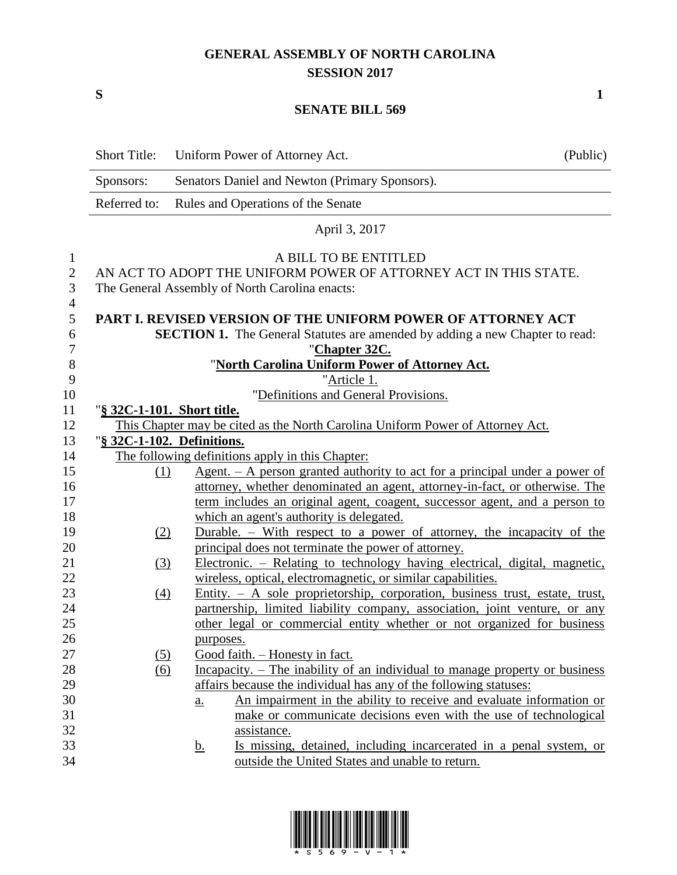## **GENERAL ASSEMBLY OF NORTH CAROLINA SESSION 2017**

**S 1**

## **SENATE BILL 569**

|                          | <b>Short Title:</b> | Uniform Power of Attorney Act.                                                                                                                      | (Public) |
|--------------------------|---------------------|-----------------------------------------------------------------------------------------------------------------------------------------------------|----------|
|                          | Sponsors:           | Senators Daniel and Newton (Primary Sponsors).                                                                                                      |          |
|                          | Referred to:        | Rules and Operations of the Senate                                                                                                                  |          |
|                          |                     | April 3, 2017                                                                                                                                       |          |
| $\mathbf{1}$             |                     | A BILL TO BE ENTITLED                                                                                                                               |          |
| $\mathbf{2}$             |                     | AN ACT TO ADOPT THE UNIFORM POWER OF ATTORNEY ACT IN THIS STATE.                                                                                    |          |
| 3                        |                     | The General Assembly of North Carolina enacts:                                                                                                      |          |
| $\overline{4}$<br>5<br>6 |                     | PART I. REVISED VERSION OF THE UNIFORM POWER OF ATTORNEY ACT<br><b>SECTION 1.</b> The General Statutes are amended by adding a new Chapter to read: |          |
| $\boldsymbol{7}$         |                     | "Chapter 32C.                                                                                                                                       |          |
| 8                        |                     | "North Carolina Uniform Power of Attorney Act.                                                                                                      |          |
| 9                        |                     | "Article 1.                                                                                                                                         |          |
| 10                       |                     | "Definitions and General Provisions.                                                                                                                |          |
| 11                       |                     | "§ 32C-1-101. Short title.                                                                                                                          |          |
| 12                       |                     | This Chapter may be cited as the North Carolina Uniform Power of Attorney Act.                                                                      |          |
| 13                       |                     | "§ 32C-1-102. Definitions.                                                                                                                          |          |
| 14                       |                     | The following definitions apply in this Chapter:                                                                                                    |          |
| 15                       | (1)                 | $Agent. - A person granted authority to act for a principal under a power of$                                                                       |          |
| 16                       |                     | attorney, whether denominated an agent, attorney-in-fact, or otherwise. The                                                                         |          |
| 17                       |                     | term includes an original agent, coagent, successor agent, and a person to                                                                          |          |
| 18                       |                     | which an agent's authority is delegated.                                                                                                            |          |
| 19                       | (2)                 | Durable. – With respect to a power of attorney, the incapacity of the                                                                               |          |
| 20                       |                     | principal does not terminate the power of attorney.                                                                                                 |          |
| 21<br>22                 | (3)                 | Electronic. – Relating to technology having electrical, digital, magnetic,<br>wireless, optical, electromagnetic, or similar capabilities.          |          |
| 23                       | (4)                 | Entity. - A sole proprietorship, corporation, business trust, estate, trust,                                                                        |          |
| 24                       |                     | partnership, limited liability company, association, joint venture, or any                                                                          |          |
| 25                       |                     | other legal or commercial entity whether or not organized for business                                                                              |          |
| 26                       |                     | purposes.                                                                                                                                           |          |
| 27                       | (5)                 | Good faith. - Honesty in fact.                                                                                                                      |          |
| 28                       | (6)                 | Incapacity. - The inability of an individual to manage property or business                                                                         |          |
| 29                       |                     | affairs because the individual has any of the following statuses:                                                                                   |          |
| 30                       |                     | An impairment in the ability to receive and evaluate information or<br>$\underline{a}$ .                                                            |          |
| 31                       |                     | make or communicate decisions even with the use of technological                                                                                    |          |
| 32                       |                     | assistance.                                                                                                                                         |          |
| 33                       |                     | Is missing, detained, including incarcerated in a penal system, or<br><u>b.</u>                                                                     |          |
| 34                       |                     | outside the United States and unable to return.                                                                                                     |          |

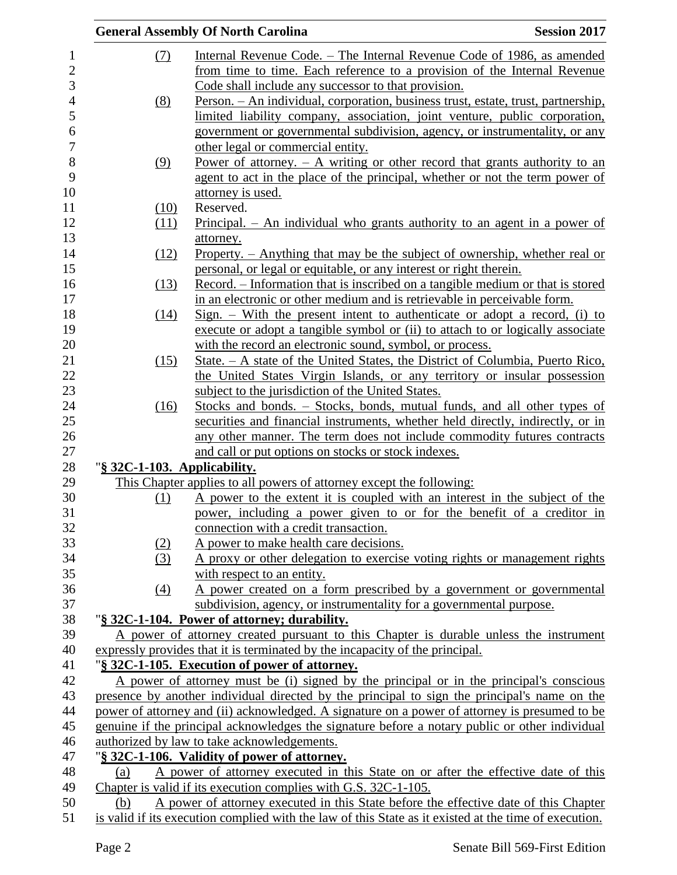|                              | <b>General Assembly Of North Carolina</b>                                                             | <b>Session 2017</b> |
|------------------------------|-------------------------------------------------------------------------------------------------------|---------------------|
| (7)                          | Internal Revenue Code. – The Internal Revenue Code of 1986, as amended                                |                     |
|                              | from time to time. Each reference to a provision of the Internal Revenue                              |                     |
|                              | Code shall include any successor to that provision.                                                   |                     |
| (8)                          | <u> Person. – An individual, corporation, business trust, estate, trust, partnership,</u>             |                     |
|                              | limited liability company, association, joint venture, public corporation,                            |                     |
|                              | government or governmental subdivision, agency, or instrumentality, or any                            |                     |
|                              | other legal or commercial entity.                                                                     |                     |
| (9)                          | Power of attorney. $- A$ writing or other record that grants authority to an                          |                     |
|                              | agent to act in the place of the principal, whether or not the term power of                          |                     |
|                              | attorney is used.                                                                                     |                     |
| (10)                         | Reserved.                                                                                             |                     |
| (11)                         | <u>Principal. – An individual who grants authority to an agent in a power of</u>                      |                     |
|                              | attorney.                                                                                             |                     |
| (12)                         | Property. – Anything that may be the subject of ownership, whether real or                            |                     |
|                              | personal, or legal or equitable, or any interest or right therein.                                    |                     |
| (13)                         | Record. – Information that is inscribed on a tangible medium or that is stored                        |                     |
|                              | in an electronic or other medium and is retrievable in perceivable form.                              |                     |
| (14)                         | $Sign. - With the present intent to authenticate or adopt a record, (i) to$                           |                     |
|                              | execute or adopt a tangible symbol or (ii) to attach to or logically associate                        |                     |
|                              | with the record an electronic sound, symbol, or process.                                              |                     |
| (15)                         | State. $-A$ state of the United States, the District of Columbia, Puerto Rico,                        |                     |
|                              | the United States Virgin Islands, or any territory or insular possession                              |                     |
|                              | subject to the jurisdiction of the United States.                                                     |                     |
| (16)                         | Stocks and bonds. – Stocks, bonds, mutual funds, and all other types of                               |                     |
|                              | securities and financial instruments, whether held directly, indirectly, or in                        |                     |
|                              | any other manner. The term does not include commodity futures contracts                               |                     |
|                              | and call or put options on stocks or stock indexes.                                                   |                     |
| "§ 32C-1-103. Applicability. |                                                                                                       |                     |
|                              | This Chapter applies to all powers of attorney except the following:                                  |                     |
| (1)                          | A power to the extent it is coupled with an interest in the subject of the                            |                     |
|                              | power, including a power given to or for the benefit of a creditor in                                 |                     |
|                              | connection with a credit transaction.                                                                 |                     |
| (2)                          | A power to make health care decisions.                                                                |                     |
| (3)                          | A proxy or other delegation to exercise voting rights or management rights                            |                     |
|                              | with respect to an entity.                                                                            |                     |
| (4)                          | A power created on a form prescribed by a government or governmental                                  |                     |
|                              | subdivision, agency, or instrumentality for a governmental purpose.                                   |                     |
|                              | "§ 32C-1-104. Power of attorney; durability.                                                          |                     |
|                              | A power of attorney created pursuant to this Chapter is durable unless the instrument                 |                     |
|                              | expressly provides that it is terminated by the incapacity of the principal.                          |                     |
|                              | "§ 32C-1-105. Execution of power of attorney.                                                         |                     |
|                              | A power of attorney must be (i) signed by the principal or in the principal's conscious               |                     |
|                              | presence by another individual directed by the principal to sign the principal's name on the          |                     |
|                              | power of attorney and (ii) acknowledged. A signature on a power of attorney is presumed to be         |                     |
|                              | genuine if the principal acknowledges the signature before a notary public or other individual        |                     |
|                              | authorized by law to take acknowledgements.                                                           |                     |
|                              | "§ 32C-1-106. Validity of power of attorney.                                                          |                     |
| (a)                          | A power of attorney executed in this State on or after the effective date of this                     |                     |
|                              | Chapter is valid if its execution complies with G.S. 32C-1-105.                                       |                     |
| (b)                          | A power of attorney executed in this State before the effective date of this Chapter                  |                     |
|                              | is valid if its execution complied with the law of this State as it existed at the time of execution. |                     |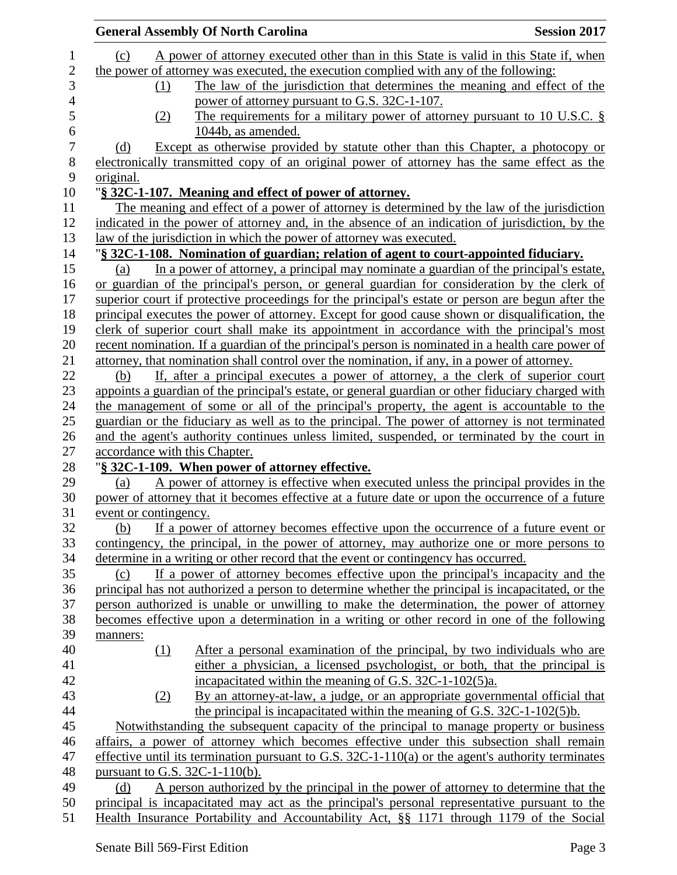|                       |     | <b>General Assembly Of North Carolina</b>                                                           | <b>Session 2017</b> |
|-----------------------|-----|-----------------------------------------------------------------------------------------------------|---------------------|
| (c)                   |     | A power of attorney executed other than in this State is valid in this State if, when               |                     |
|                       |     | the power of attorney was executed, the execution complied with any of the following:               |                     |
|                       | (1) | The law of the jurisdiction that determines the meaning and effect of the                           |                     |
|                       |     | power of attorney pursuant to G.S. 32C-1-107.                                                       |                     |
|                       | (2) | The requirements for a military power of attorney pursuant to 10 U.S.C. $\S$                        |                     |
|                       |     | 1044b, as amended.                                                                                  |                     |
| (d)                   |     | Except as otherwise provided by statute other than this Chapter, a photocopy or                     |                     |
|                       |     | electronically transmitted copy of an original power of attorney has the same effect as the         |                     |
| original.             |     |                                                                                                     |                     |
|                       |     | "§ 32C-1-107. Meaning and effect of power of attorney.                                              |                     |
|                       |     | The meaning and effect of a power of attorney is determined by the law of the jurisdiction          |                     |
|                       |     | indicated in the power of attorney and, in the absence of an indication of jurisdiction, by the     |                     |
|                       |     | law of the jurisdiction in which the power of attorney was executed.                                |                     |
|                       |     | "§ 32C-1-108. Nomination of guardian; relation of agent to court-appointed fiduciary.               |                     |
| (a)                   |     | In a power of attorney, a principal may nominate a guardian of the principal's estate,              |                     |
|                       |     | or guardian of the principal's person, or general guardian for consideration by the clerk of        |                     |
|                       |     | superior court if protective proceedings for the principal's estate or person are begun after the   |                     |
|                       |     | principal executes the power of attorney. Except for good cause shown or disqualification, the      |                     |
|                       |     | clerk of superior court shall make its appointment in accordance with the principal's most          |                     |
|                       |     | recent nomination. If a guardian of the principal's person is nominated in a health care power of   |                     |
|                       |     | attorney, that nomination shall control over the nomination, if any, in a power of attorney.        |                     |
| (b)                   |     | If, after a principal executes a power of attorney, a the clerk of superior court                   |                     |
|                       |     | appoints a guardian of the principal's estate, or general guardian or other fiduciary charged with  |                     |
|                       |     | the management of some or all of the principal's property, the agent is accountable to the          |                     |
|                       |     | guardian or the fiduciary as well as to the principal. The power of attorney is not terminated      |                     |
|                       |     | and the agent's authority continues unless limited, suspended, or terminated by the court in        |                     |
|                       |     | accordance with this Chapter.                                                                       |                     |
|                       |     | "§ 32C-1-109. When power of attorney effective.                                                     |                     |
| (a)                   |     | A power of attorney is effective when executed unless the principal provides in the                 |                     |
|                       |     | power of attorney that it becomes effective at a future date or upon the occurrence of a future     |                     |
| event or contingency. |     |                                                                                                     |                     |
| (b)                   |     | If a power of attorney becomes effective upon the occurrence of a future event or                   |                     |
|                       |     | contingency, the principal, in the power of attorney, may authorize one or more persons to          |                     |
|                       |     | determine in a writing or other record that the event or contingency has occurred.                  |                     |
| (c)                   |     | If a power of attorney becomes effective upon the principal's incapacity and the                    |                     |
|                       |     | principal has not authorized a person to determine whether the principal is incapacitated, or the   |                     |
|                       |     | person authorized is unable or unwilling to make the determination, the power of attorney           |                     |
|                       |     | becomes effective upon a determination in a writing or other record in one of the following         |                     |
|                       |     |                                                                                                     |                     |
| manners:              |     |                                                                                                     |                     |
|                       | (1) | After a personal examination of the principal, by two individuals who are                           |                     |
|                       |     | either a physician, a licensed psychologist, or both, that the principal is                         |                     |
|                       |     | incapacitated within the meaning of G.S. $32C-1-102(5)a$ .                                          |                     |
|                       | (2) | By an attorney-at-law, a judge, or an appropriate governmental official that                        |                     |
|                       |     | the principal is incapacitated within the meaning of G.S. $32C-1-102(5)b$ .                         |                     |
|                       |     | Notwithstanding the subsequent capacity of the principal to manage property or business             |                     |
|                       |     | affairs, a power of attorney which becomes effective under this subsection shall remain             |                     |
|                       |     | effective until its termination pursuant to G.S. $32C-1-110(a)$ or the agent's authority terminates |                     |
|                       |     | pursuant to G.S. $32C-1-110(b)$ .                                                                   |                     |
| (d)                   |     | A person authorized by the principal in the power of attorney to determine that the                 |                     |
|                       |     | principal is incapacitated may act as the principal's personal representative pursuant to the       |                     |
|                       |     | Health Insurance Portability and Accountability Act, §§ 1171 through 1179 of the Social             |                     |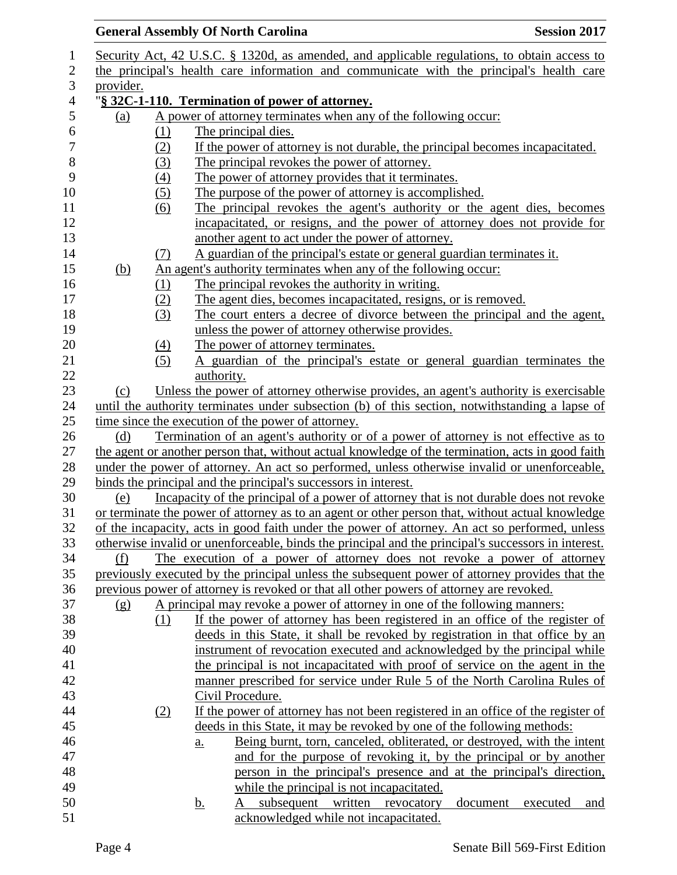## **General Assembly Of North Carolina Session 2017**  Security Act, 42 U.S.C. § 1320d, as amended, and applicable regulations, to obtain access to the principal's health care information and communicate with the principal's health care provider. "**§ 32C-1-110. Termination of power of attorney.** (a) A power of attorney terminates when any of the following occur: 6  $(1)$  The principal dies.<br>
7  $(2)$  If the power of atto (2) If the power of attorney is not durable, the principal becomes incapacitated. (3) The principal revokes the power of attorney. (4) The power of attorney provides that it terminates. 10 (5) The purpose of the power of attorney is accomplished. (6) The principal revokes the agent's authority or the agent dies, becomes incapacitated, or resigns, and the power of attorney does not provide for another agent to act under the power of attorney. (7) A guardian of the principal's estate or general guardian terminates it. (b) An agent's authority terminates when any of the following occur: 16 (1) The principal revokes the authority in writing. (2) The agent dies, becomes incapacitated, resigns, or is removed. (3) The court enters a decree of divorce between the principal and the agent, unless the power of attorney otherwise provides. 20 (4) The power of attorney terminates. (5) A guardian of the principal's estate or general guardian terminates the 22 authority. (c) Unless the power of attorney otherwise provides, an agent's authority is exercisable until the authority terminates under subsection (b) of this section, notwithstanding a lapse of time since the execution of the power of attorney. (d) Termination of an agent's authority or of a power of attorney is not effective as to the agent or another person that, without actual knowledge of the termination, acts in good faith under the power of attorney. An act so performed, unless otherwise invalid or unenforceable, binds the principal and the principal's successors in interest. (e) Incapacity of the principal of a power of attorney that is not durable does not revoke or terminate the power of attorney as to an agent or other person that, without actual knowledge of the incapacity, acts in good faith under the power of attorney. An act so performed, unless otherwise invalid or unenforceable, binds the principal and the principal's successors in interest. (f) The execution of a power of attorney does not revoke a power of attorney previously executed by the principal unless the subsequent power of attorney provides that the previous power of attorney is revoked or that all other powers of attorney are revoked. (g) A principal may revoke a power of attorney in one of the following manners: (1) If the power of attorney has been registered in an office of the register of deeds in this State, it shall be revoked by registration in that office by an instrument of revocation executed and acknowledged by the principal while the principal is not incapacitated with proof of service on the agent in the manner prescribed for service under Rule 5 of the North Carolina Rules of Civil Procedure. (2) If the power of attorney has not been registered in an office of the register of deeds in this State, it may be revoked by one of the following methods: a. Being burnt, torn, canceled, obliterated, or destroyed, with the intent and for the purpose of revoking it, by the principal or by another person in the principal's presence and at the principal's direction, while the principal is not incapacitated. b. A subsequent written revocatory document executed and acknowledged while not incapacitated.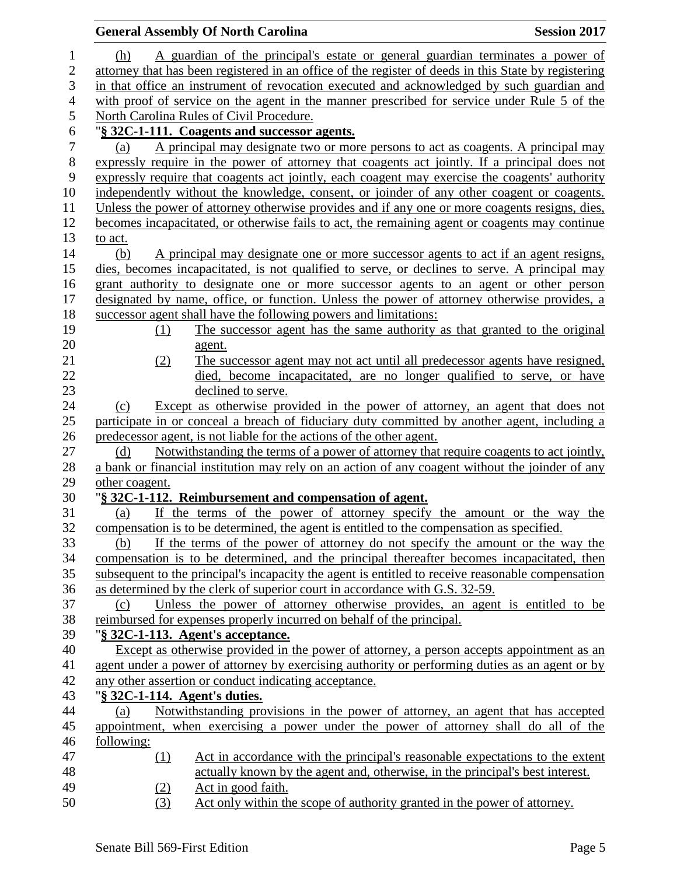|                |                               | <b>General Assembly Of North Carolina</b>                                                            | <b>Session 2017</b> |
|----------------|-------------------------------|------------------------------------------------------------------------------------------------------|---------------------|
| 1              | (h)                           | A guardian of the principal's estate or general guardian terminates a power of                       |                     |
| $\overline{2}$ |                               | attorney that has been registered in an office of the register of deeds in this State by registering |                     |
| 3              |                               | in that office an instrument of revocation executed and acknowledged by such guardian and            |                     |
| $\overline{4}$ |                               | with proof of service on the agent in the manner prescribed for service under Rule 5 of the          |                     |
| 5              |                               | North Carolina Rules of Civil Procedure.                                                             |                     |
| 6              |                               | "§ 32C-1-111. Coagents and successor agents.                                                         |                     |
| $\tau$         | (a)                           | A principal may designate two or more persons to act as coagents. A principal may                    |                     |
| $8\,$          |                               | expressly require in the power of attorney that coagents act jointly. If a principal does not        |                     |
| 9              |                               | expressly require that coagents act jointly, each coagent may exercise the coagents' authority       |                     |
| 10             |                               | independently without the knowledge, consent, or joinder of any other coagent or coagents.           |                     |
| 11             |                               | Unless the power of attorney otherwise provides and if any one or more coagents resigns, dies,       |                     |
| 12             |                               | becomes incapacitated, or otherwise fails to act, the remaining agent or coagents may continue       |                     |
| 13             | to act.                       |                                                                                                      |                     |
| 14             | (b)                           | A principal may designate one or more successor agents to act if an agent resigns,                   |                     |
| 15             |                               | dies, becomes incapacitated, is not qualified to serve, or declines to serve. A principal may        |                     |
| 16             |                               | grant authority to designate one or more successor agents to an agent or other person                |                     |
| 17             |                               | designated by name, office, or function. Unless the power of attorney otherwise provides, a          |                     |
| 18             |                               | successor agent shall have the following powers and limitations:                                     |                     |
| 19             | (1)                           | The successor agent has the same authority as that granted to the original                           |                     |
| 20             |                               | agent.                                                                                               |                     |
| 21             | (2)                           | The successor agent may not act until all predecessor agents have resigned,                          |                     |
| 22             |                               | died, become incapacitated, are no longer qualified to serve, or have                                |                     |
| 23             |                               | declined to serve.                                                                                   |                     |
| 24             | (c)                           | Except as otherwise provided in the power of attorney, an agent that does not                        |                     |
| 25             |                               | participate in or conceal a breach of fiduciary duty committed by another agent, including a         |                     |
| 26             |                               | predecessor agent, is not liable for the actions of the other agent.                                 |                     |
| 27<br>28       | (d)                           | Notwithstanding the terms of a power of attorney that require coagents to act jointly,               |                     |
| 29             |                               | a bank or financial institution may rely on an action of any coagent without the joinder of any      |                     |
| 30             | other coagent.                | "§ 32C-1-112. Reimbursement and compensation of agent.                                               |                     |
| 31             | (a)                           | If the terms of the power of attorney specify the amount or the way the                              |                     |
| 32             |                               | compensation is to be determined, the agent is entitled to the compensation as specified.            |                     |
| 33             | (b)                           | If the terms of the power of attorney do not specify the amount or the way the                       |                     |
| 34             |                               | compensation is to be determined, and the principal thereafter becomes incapacitated, then           |                     |
| 35             |                               | subsequent to the principal's incapacity the agent is entitled to receive reasonable compensation    |                     |
| 36             |                               | as determined by the clerk of superior court in accordance with G.S. 32-59.                          |                     |
| 37             | (c)                           | Unless the power of attorney otherwise provides, an agent is entitled to be                          |                     |
| 38             |                               | reimbursed for expenses properly incurred on behalf of the principal.                                |                     |
| 39             |                               | "§ 32C-1-113. Agent's acceptance.                                                                    |                     |
| 40             |                               | Except as otherwise provided in the power of attorney, a person accepts appointment as an            |                     |
| 41             |                               | agent under a power of attorney by exercising authority or performing duties as an agent or by       |                     |
| 42             |                               | any other assertion or conduct indicating acceptance.                                                |                     |
| 43             | "§ 32C-1-114. Agent's duties. |                                                                                                      |                     |
| 44             | (a)                           | Notwithstanding provisions in the power of attorney, an agent that has accepted                      |                     |
| 45             |                               | appointment, when exercising a power under the power of attorney shall do all of the                 |                     |
| 46             | following:                    |                                                                                                      |                     |
| 47             | (1)                           | Act in accordance with the principal's reasonable expectations to the extent                         |                     |
| 48             |                               | actually known by the agent and, otherwise, in the principal's best interest.                        |                     |
| 49             | (2)                           | Act in good faith.                                                                                   |                     |
| 50             | (3)                           | Act only within the scope of authority granted in the power of attorney.                             |                     |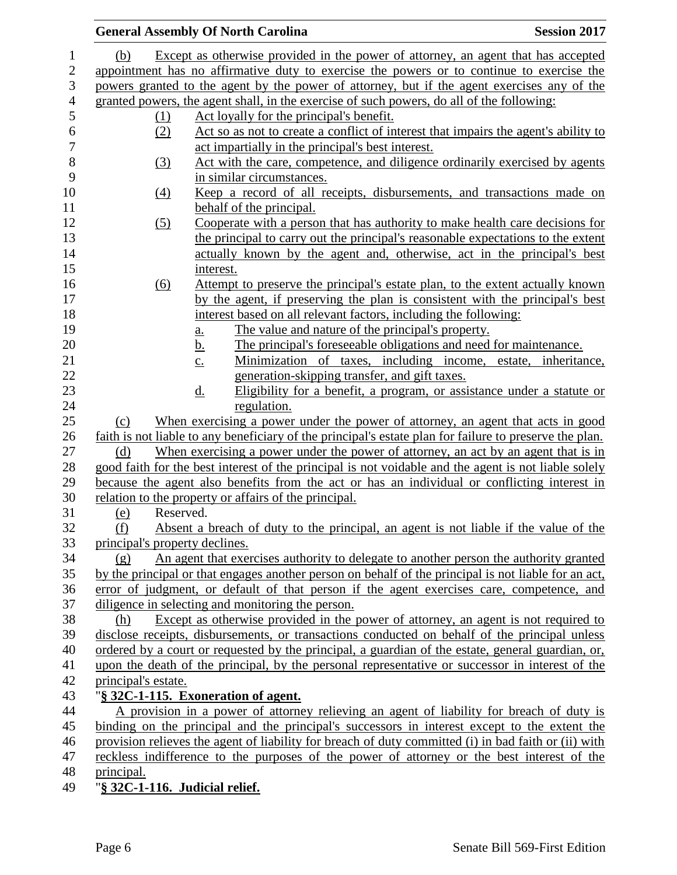|                                | <b>General Assembly Of North Carolina</b>                                                               | <b>Session 2017</b> |
|--------------------------------|---------------------------------------------------------------------------------------------------------|---------------------|
| (b)                            | Except as otherwise provided in the power of attorney, an agent that has accepted                       |                     |
|                                | appointment has no affirmative duty to exercise the powers or to continue to exercise the               |                     |
|                                | powers granted to the agent by the power of attorney, but if the agent exercises any of the             |                     |
|                                | granted powers, the agent shall, in the exercise of such powers, do all of the following:               |                     |
| (1)                            | Act loyally for the principal's benefit.                                                                |                     |
| (2)                            | Act so as not to create a conflict of interest that impairs the agent's ability to                      |                     |
|                                | act impartially in the principal's best interest.                                                       |                     |
| (3)                            | Act with the care, competence, and diligence ordinarily exercised by agents                             |                     |
|                                | in similar circumstances.                                                                               |                     |
| (4)                            | Keep a record of all receipts, disbursements, and transactions made on                                  |                     |
|                                | behalf of the principal.                                                                                |                     |
| (5)                            | Cooperate with a person that has authority to make health care decisions for                            |                     |
|                                | the principal to carry out the principal's reasonable expectations to the extent                        |                     |
|                                | actually known by the agent and, otherwise, act in the principal's best                                 |                     |
|                                | interest.                                                                                               |                     |
| (6)                            | <u>Attempt to preserve the principal's estate plan, to the extent actually known</u>                    |                     |
|                                | by the agent, if preserving the plan is consistent with the principal's best                            |                     |
|                                | interest based on all relevant factors, including the following:                                        |                     |
|                                | The value and nature of the principal's property.<br><u>a.</u>                                          |                     |
|                                | The principal's foreseeable obligations and need for maintenance.<br><u>b.</u>                          |                     |
|                                | Minimization of taxes, including income, estate, inheritance,<br>$\underline{c}$ .                      |                     |
|                                | generation-skipping transfer, and gift taxes.                                                           |                     |
|                                | Eligibility for a benefit, a program, or assistance under a statute or<br>$\underline{d}$ .             |                     |
|                                | regulation.                                                                                             |                     |
| (c)                            | When exercising a power under the power of attorney, an agent that acts in good                         |                     |
|                                | faith is not liable to any beneficiary of the principal's estate plan for failure to preserve the plan. |                     |
| (d)                            | When exercising a power under the power of attorney, an act by an agent that is in                      |                     |
|                                | good faith for the best interest of the principal is not voidable and the agent is not liable solely    |                     |
|                                | because the agent also benefits from the act or has an individual or conflicting interest in            |                     |
|                                | relation to the property or affairs of the principal.                                                   |                     |
| (e)                            | Reserved.                                                                                               |                     |
| (f)                            | Absent a breach of duty to the principal, an agent is not liable if the value of the                    |                     |
| principal's property declines. |                                                                                                         |                     |
| (g)                            | An agent that exercises authority to delegate to another person the authority granted                   |                     |
|                                | by the principal or that engages another person on behalf of the principal is not liable for an act,    |                     |
|                                | error of judgment, or default of that person if the agent exercises care, competence, and               |                     |
|                                | diligence in selecting and monitoring the person.                                                       |                     |
| (h)                            | Except as otherwise provided in the power of attorney, an agent is not required to                      |                     |
|                                | disclose receipts, disbursements, or transactions conducted on behalf of the principal unless           |                     |
|                                | ordered by a court or requested by the principal, a guardian of the estate, general guardian, or,       |                     |
|                                | upon the death of the principal, by the personal representative or successor in interest of the         |                     |
| principal's estate.            |                                                                                                         |                     |
|                                | "§ 32C-1-115. Exoneration of agent.                                                                     |                     |
|                                | A provision in a power of attorney relieving an agent of liability for breach of duty is                |                     |
|                                | binding on the principal and the principal's successors in interest except to the extent the            |                     |
|                                | provision relieves the agent of liability for breach of duty committed (i) in bad faith or (ii) with    |                     |
|                                | reckless indifference to the purposes of the power of attorney or the best interest of the              |                     |
| principal.                     |                                                                                                         |                     |
|                                | "§ 32C-1-116. Judicial relief.                                                                          |                     |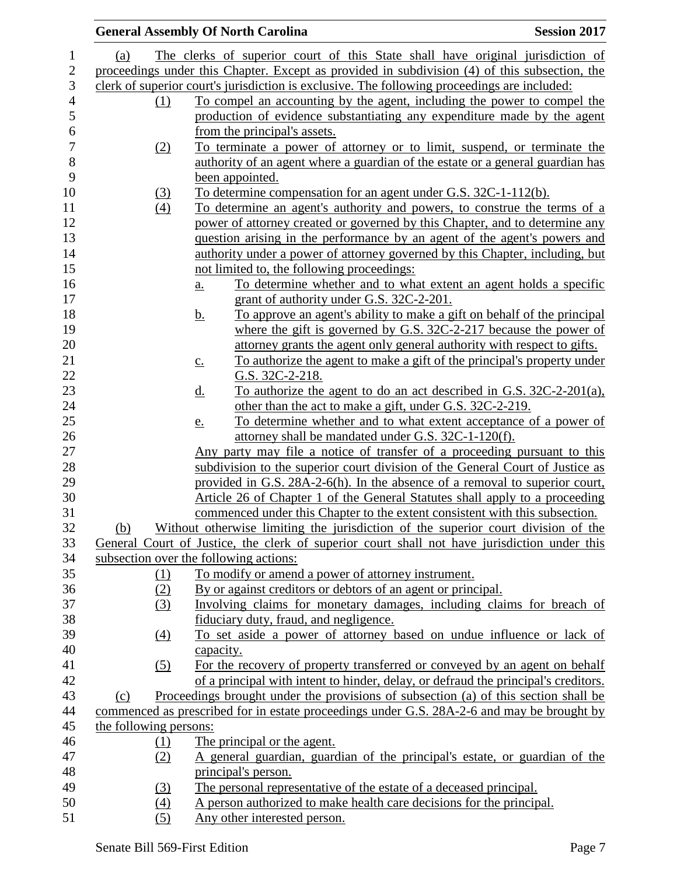|                        | <b>Session 2017</b><br><b>General Assembly Of North Carolina</b>                              |  |
|------------------------|-----------------------------------------------------------------------------------------------|--|
| (a)                    | The clerks of superior court of this State shall have original jurisdiction of                |  |
|                        | proceedings under this Chapter. Except as provided in subdivision (4) of this subsection, the |  |
|                        | clerk of superior court's jurisdiction is exclusive. The following proceedings are included:  |  |
| (1)                    | To compel an accounting by the agent, including the power to compel the                       |  |
|                        | production of evidence substantiating any expenditure made by the agent                       |  |
|                        | from the principal's assets.                                                                  |  |
| (2)                    | To terminate a power of attorney or to limit, suspend, or terminate the                       |  |
|                        | authority of an agent where a guardian of the estate or a general guardian has                |  |
|                        | been appointed.                                                                               |  |
| (3)                    | To determine compensation for an agent under G.S. 32C-1-112(b).                               |  |
| (4)                    | To determine an agent's authority and powers, to construe the terms of a                      |  |
|                        | power of attorney created or governed by this Chapter, and to determine any                   |  |
|                        | question arising in the performance by an agent of the agent's powers and                     |  |
|                        | authority under a power of attorney governed by this Chapter, including, but                  |  |
|                        | not limited to, the following proceedings:                                                    |  |
|                        | To determine whether and to what extent an agent holds a specific<br>a.                       |  |
|                        | grant of authority under G.S. 32C-2-201.                                                      |  |
|                        | <u>b.</u><br><u>To approve an agent's ability to make a gift on behalf of the principal</u>   |  |
|                        | where the gift is governed by G.S. $32C-2-217$ because the power of                           |  |
|                        | attorney grants the agent only general authority with respect to gifts.                       |  |
|                        | To authorize the agent to make a gift of the principal's property under<br>$\underline{c}$ .  |  |
|                        | G.S. 32C-2-218.                                                                               |  |
|                        | To authorize the agent to do an act described in G.S. 32C-2-201(a),<br><u>d.</u>              |  |
|                        | other than the act to make a gift, under G.S. 32C-2-219.                                      |  |
|                        | To determine whether and to what extent acceptance of a power of<br>e.                        |  |
|                        | attorney shall be mandated under G.S. 32C-1-120(f).                                           |  |
|                        | Any party may file a notice of transfer of a proceeding pursuant to this                      |  |
|                        | subdivision to the superior court division of the General Court of Justice as                 |  |
|                        | provided in G.S. 28A-2-6(h). In the absence of a removal to superior court,                   |  |
|                        | Article 26 of Chapter 1 of the General Statutes shall apply to a proceeding                   |  |
|                        | commenced under this Chapter to the extent consistent with this subsection.                   |  |
| (b)                    | Without otherwise limiting the jurisdiction of the superior court division of the             |  |
|                        | General Court of Justice, the clerk of superior court shall not have jurisdiction under this  |  |
|                        | subsection over the following actions:                                                        |  |
| <u>(1)</u>             | To modify or amend a power of attorney instrument.                                            |  |
| (2)                    | By or against creditors or debtors of an agent or principal.                                  |  |
| (3)                    | Involving claims for monetary damages, including claims for breach of                         |  |
|                        | fiduciary duty, fraud, and negligence.                                                        |  |
| (4)                    | To set aside a power of attorney based on undue influence or lack of                          |  |
|                        | capacity.                                                                                     |  |
| (5)                    | For the recovery of property transferred or conveyed by an agent on behalf                    |  |
|                        | of a principal with intent to hinder, delay, or defraud the principal's creditors.            |  |
| (c)                    | Proceedings brought under the provisions of subsection (a) of this section shall be           |  |
|                        | commenced as prescribed for in estate proceedings under G.S. 28A-2-6 and may be brought by    |  |
| the following persons: |                                                                                               |  |
| $\Omega$               | The principal or the agent.                                                                   |  |
| (2)                    | A general guardian, guardian of the principal's estate, or guardian of the                    |  |
|                        | principal's person.                                                                           |  |
| (3)                    | The personal representative of the estate of a deceased principal.                            |  |
| (4)                    | A person authorized to make health care decisions for the principal.                          |  |
| (5)                    | Any other interested person.                                                                  |  |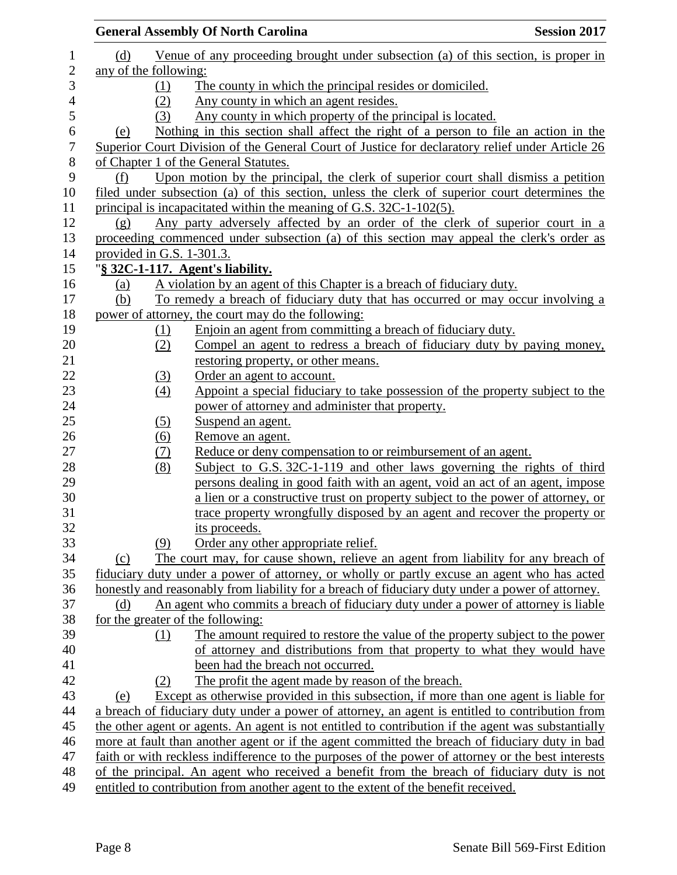|                  | <b>Session 2017</b><br><b>General Assembly Of North Carolina</b>                                               |
|------------------|----------------------------------------------------------------------------------------------------------------|
| $\mathbf{1}$     | Venue of any proceeding brought under subsection (a) of this section, is proper in<br>(d)                      |
| $\boldsymbol{2}$ | any of the following:                                                                                          |
| 3                | The county in which the principal resides or domiciled.<br>(1)                                                 |
| $\overline{4}$   | Any county in which an agent resides.<br>(2)                                                                   |
| 5                | Any county in which property of the principal is located.<br>(3)                                               |
| $\sqrt{6}$       | Nothing in this section shall affect the right of a person to file an action in the<br>(e)                     |
| $\boldsymbol{7}$ | Superior Court Division of the General Court of Justice for declaratory relief under Article 26                |
| $8\,$            | of Chapter 1 of the General Statutes.                                                                          |
| 9                | Upon motion by the principal, the clerk of superior court shall dismiss a petition<br>(f)                      |
| 10               | filed under subsection (a) of this section, unless the clerk of superior court determines the                  |
| 11               | principal is incapacitated within the meaning of G.S. 32C-1-102(5).                                            |
| 12               | Any party adversely affected by an order of the clerk of superior court in a<br>$\left( \underline{g} \right)$ |
| 13               | proceeding commenced under subsection (a) of this section may appeal the clerk's order as                      |
| 14               | provided in G.S. 1-301.3.                                                                                      |
| 15               | "§ 32C-1-117. Agent's liability.                                                                               |
| 16               | A violation by an agent of this Chapter is a breach of fiduciary duty.<br>(a)                                  |
| 17               | (b)<br>To remedy a breach of fiduciary duty that has occurred or may occur involving a                         |
| 18               | power of attorney, the court may do the following:                                                             |
| 19               | Enjoin an agent from committing a breach of fiduciary duty.<br>(1)                                             |
| 20               | Compel an agent to redress a breach of fiduciary duty by paying money,<br>(2)                                  |
| 21               | restoring property, or other means.                                                                            |
| 22               | Order an agent to account.<br>(3)                                                                              |
| 23               | Appoint a special fiduciary to take possession of the property subject to the<br>$\left(4\right)$              |
| 24               | power of attorney and administer that property.                                                                |
| 25               | (5)<br>Suspend an agent.                                                                                       |
| 26               | $\underline{(6)}$<br>Remove an agent.                                                                          |
| 27               | Reduce or deny compensation to or reimbursement of an agent.<br>(7)                                            |
| 28               | Subject to G.S. 32C-1-119 and other laws governing the rights of third<br>(8)                                  |
| 29               | persons dealing in good faith with an agent, void an act of an agent, impose                                   |
| 30               | a lien or a constructive trust on property subject to the power of attorney, or                                |
| 31               | trace property wrongfully disposed by an agent and recover the property or                                     |
| 32               | its proceeds.                                                                                                  |
| 33               | Order any other appropriate relief.<br>(9)                                                                     |
| 34               | The court may, for cause shown, relieve an agent from liability for any breach of<br>(c)                       |
| 35               | fiduciary duty under a power of attorney, or wholly or partly excuse an agent who has acted                    |
| 36               | honestly and reasonably from liability for a breach of fiduciary duty under a power of attorney.               |
| 37               | An agent who commits a breach of fiduciary duty under a power of attorney is liable<br>(d)                     |
| 38               | for the greater of the following:                                                                              |
| 39               | The amount required to restore the value of the property subject to the power<br>(1)                           |
| 40               | of attorney and distributions from that property to what they would have                                       |
| 41               | been had the breach not occurred.                                                                              |
| 42               | The profit the agent made by reason of the breach.<br>(2)                                                      |
| 43               | Except as otherwise provided in this subsection, if more than one agent is liable for<br>(e)                   |
| 44               | a breach of fiduciary duty under a power of attorney, an agent is entitled to contribution from                |
| 45               | the other agent or agents. An agent is not entitled to contribution if the agent was substantially             |
| 46               | more at fault than another agent or if the agent committed the breach of fiduciary duty in bad                 |
| 47               | faith or with reckless indifference to the purposes of the power of attorney or the best interests             |
| 48               | of the principal. An agent who received a benefit from the breach of fiduciary duty is not                     |
| 49               | entitled to contribution from another agent to the extent of the benefit received.                             |
|                  |                                                                                                                |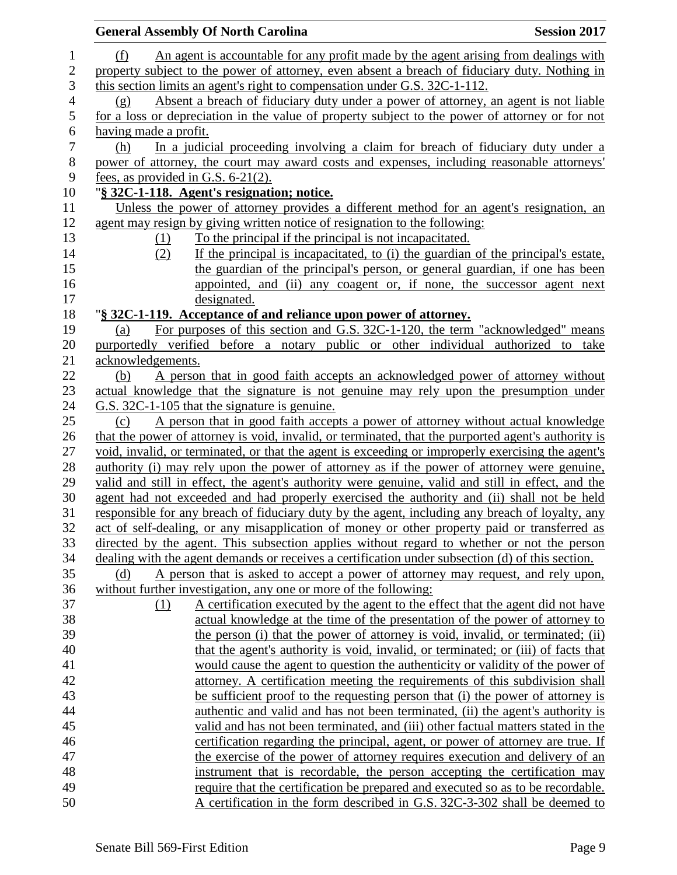| <b>General Assembly Of North Carolina</b>                                                                                                                                   | <b>Session 2017</b> |
|-----------------------------------------------------------------------------------------------------------------------------------------------------------------------------|---------------------|
| An agent is accountable for any profit made by the agent arising from dealings with<br>(f)                                                                                  |                     |
| property subject to the power of attorney, even absent a breach of fiduciary duty. Nothing in                                                                               |                     |
| this section limits an agent's right to compensation under G.S. 32C-1-112.                                                                                                  |                     |
| Absent a breach of fiduciary duty under a power of attorney, an agent is not liable<br>(g)                                                                                  |                     |
| for a loss or depreciation in the value of property subject to the power of attorney or for not                                                                             |                     |
| having made a profit.                                                                                                                                                       |                     |
| In a judicial proceeding involving a claim for breach of fiduciary duty under a<br>(h)                                                                                      |                     |
| power of attorney, the court may award costs and expenses, including reasonable attorneys'                                                                                  |                     |
| fees, as provided in G.S. $6-21(2)$ .                                                                                                                                       |                     |
| "§ 32C-1-118. Agent's resignation; notice.                                                                                                                                  |                     |
| Unless the power of attorney provides a different method for an agent's resignation, an                                                                                     |                     |
| agent may resign by giving written notice of resignation to the following:                                                                                                  |                     |
| To the principal if the principal is not incapacitated.<br><u>(1)</u>                                                                                                       |                     |
| If the principal is incapacitated, to (i) the guardian of the principal's estate,<br>(2)                                                                                    |                     |
| the guardian of the principal's person, or general guardian, if one has been                                                                                                |                     |
| appointed, and (ii) any coagent or, if none, the successor agent next                                                                                                       |                     |
| designated.                                                                                                                                                                 |                     |
| "§ 32C-1-119. Acceptance of and reliance upon power of attorney.                                                                                                            |                     |
| For purposes of this section and G.S. 32C-1-120, the term "acknowledged" means<br>(a)<br>purportedly verified before a notary public or other individual authorized to take |                     |
| acknowledgements.                                                                                                                                                           |                     |
| A person that in good faith accepts an acknowledged power of attorney without<br>(b)                                                                                        |                     |
| actual knowledge that the signature is not genuine may rely upon the presumption under                                                                                      |                     |
| G.S. 32C-1-105 that the signature is genuine.                                                                                                                               |                     |
| A person that in good faith accepts a power of attorney without actual knowledge<br>(c)                                                                                     |                     |
| that the power of attorney is void, invalid, or terminated, that the purported agent's authority is                                                                         |                     |
| void, invalid, or terminated, or that the agent is exceeding or improperly exercising the agent's                                                                           |                     |
| authority (i) may rely upon the power of attorney as if the power of attorney were genuine,                                                                                 |                     |
| valid and still in effect, the agent's authority were genuine, valid and still in effect, and the                                                                           |                     |
| agent had not exceeded and had properly exercised the authority and (ii) shall not be held                                                                                  |                     |
| responsible for any breach of fiduciary duty by the agent, including any breach of loyalty, any                                                                             |                     |
| act of self-dealing, or any misapplication of money or other property paid or transferred as                                                                                |                     |
| directed by the agent. This subsection applies without regard to whether or not the person                                                                                  |                     |
| dealing with the agent demands or receives a certification under subsection (d) of this section.                                                                            |                     |
| A person that is asked to accept a power of attorney may request, and rely upon,<br>(d)                                                                                     |                     |
| without further investigation, any one or more of the following:                                                                                                            |                     |
| A certification executed by the agent to the effect that the agent did not have<br>(1)                                                                                      |                     |
| actual knowledge at the time of the presentation of the power of attorney to                                                                                                |                     |
| the person (i) that the power of attorney is void, invalid, or terminated; (ii)                                                                                             |                     |
| that the agent's authority is void, invalid, or terminated; or (iii) of facts that                                                                                          |                     |
| would cause the agent to question the authenticity or validity of the power of<br>attorney. A certification meeting the requirements of this subdivision shall              |                     |
| be sufficient proof to the requesting person that (i) the power of attorney is                                                                                              |                     |
| authentic and valid and has not been terminated, (ii) the agent's authority is                                                                                              |                     |
| valid and has not been terminated, and (iii) other factual matters stated in the                                                                                            |                     |
| certification regarding the principal, agent, or power of attorney are true. If                                                                                             |                     |
| the exercise of the power of attorney requires execution and delivery of an                                                                                                 |                     |
| instrument that is recordable, the person accepting the certification may                                                                                                   |                     |
| require that the certification be prepared and executed so as to be recordable.                                                                                             |                     |
| A certification in the form described in G.S. 32C-3-302 shall be deemed to                                                                                                  |                     |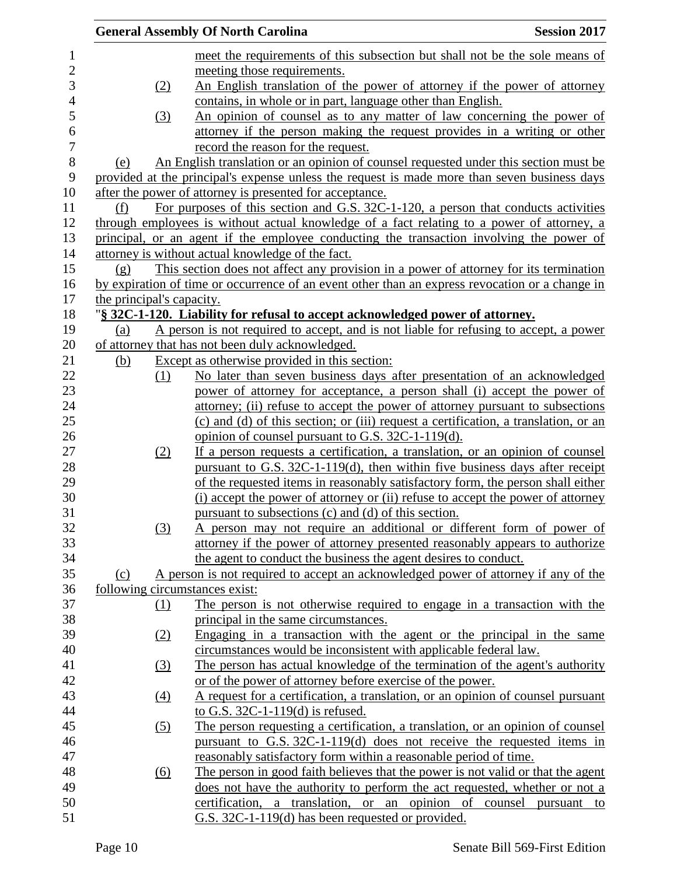|                           | <b>Session 2017</b><br><b>General Assembly Of North Carolina</b>                                                                        |
|---------------------------|-----------------------------------------------------------------------------------------------------------------------------------------|
|                           | meet the requirements of this subsection but shall not be the sole means of                                                             |
|                           | meeting those requirements.                                                                                                             |
| (2)                       | An English translation of the power of attorney if the power of attorney                                                                |
|                           | contains, in whole or in part, language other than English.                                                                             |
| (3)                       | An opinion of counsel as to any matter of law concerning the power of                                                                   |
|                           | attorney if the person making the request provides in a writing or other                                                                |
|                           | record the reason for the request.                                                                                                      |
| (e)                       | An English translation or an opinion of counsel requested under this section must be                                                    |
|                           | provided at the principal's expense unless the request is made more than seven business days                                            |
|                           | after the power of attorney is presented for acceptance.                                                                                |
| (f)                       | For purposes of this section and G.S. 32C-1-120, a person that conducts activities                                                      |
|                           | through employees is without actual knowledge of a fact relating to a power of attorney, a                                              |
|                           | principal, or an agent if the employee conducting the transaction involving the power of                                                |
|                           | attorney is without actual knowledge of the fact.                                                                                       |
| (g)                       | This section does not affect any provision in a power of attorney for its termination                                                   |
|                           | by expiration of time or occurrence of an event other than an express revocation or a change in                                         |
| the principal's capacity. |                                                                                                                                         |
|                           | "§ 32C-1-120. Liability for refusal to accept acknowledged power of attorney.                                                           |
| (a)                       | A person is not required to accept, and is not liable for refusing to accept, a power                                                   |
|                           | of attorney that has not been duly acknowledged.                                                                                        |
| <u>(b)</u>                | Except as otherwise provided in this section:                                                                                           |
| (1)                       | No later than seven business days after presentation of an acknowledged                                                                 |
|                           | power of attorney for acceptance, a person shall (i) accept the power of                                                                |
|                           | attorney; (ii) refuse to accept the power of attorney pursuant to subsections                                                           |
|                           | (c) and (d) of this section; or (iii) request a certification, a translation, or an                                                     |
|                           | opinion of counsel pursuant to G.S. 32C-1-119(d).                                                                                       |
| <u>(2)</u>                | If a person requests a certification, a translation, or an opinion of counsel                                                           |
|                           | pursuant to G.S. 32C-1-119(d), then within five business days after receipt                                                             |
|                           | of the requested items in reasonably satisfactory form, the person shall either                                                         |
|                           | (i) accept the power of attorney or (ii) refuse to accept the power of attorney<br>pursuant to subsections (c) and (d) of this section. |
|                           | A person may not require an additional or different form of power of                                                                    |
| (3)                       | attorney if the power of attorney presented reasonably appears to authorize                                                             |
|                           | the agent to conduct the business the agent desires to conduct.                                                                         |
| (c)                       | A person is not required to accept an acknowledged power of attorney if any of the                                                      |
|                           | following circumstances exist:                                                                                                          |
| (1)                       | The person is not otherwise required to engage in a transaction with the                                                                |
|                           | principal in the same circumstances.                                                                                                    |
| (2)                       | Engaging in a transaction with the agent or the principal in the same                                                                   |
|                           | circumstances would be inconsistent with applicable federal law.                                                                        |
| $\left(3\right)$          | The person has actual knowledge of the termination of the agent's authority                                                             |
|                           | or of the power of attorney before exercise of the power.                                                                               |
| $\underline{(4)}$         | A request for a certification, a translation, or an opinion of counsel pursuant                                                         |
|                           | to G.S. $32C-1-119(d)$ is refused.                                                                                                      |
| (5)                       | The person requesting a certification, a translation, or an opinion of counsel                                                          |
|                           | pursuant to G.S. $32C-1-119(d)$ does not receive the requested items in                                                                 |
|                           | reasonably satisfactory form within a reasonable period of time.                                                                        |
| $\underline{(6)}$         | The person in good faith believes that the power is not valid or that the agent                                                         |
|                           | does not have the authority to perform the act requested, whether or not a                                                              |
|                           | certification, a translation, or an opinion of counsel pursuant to                                                                      |
|                           | G.S. 32C-1-119(d) has been requested or provided.                                                                                       |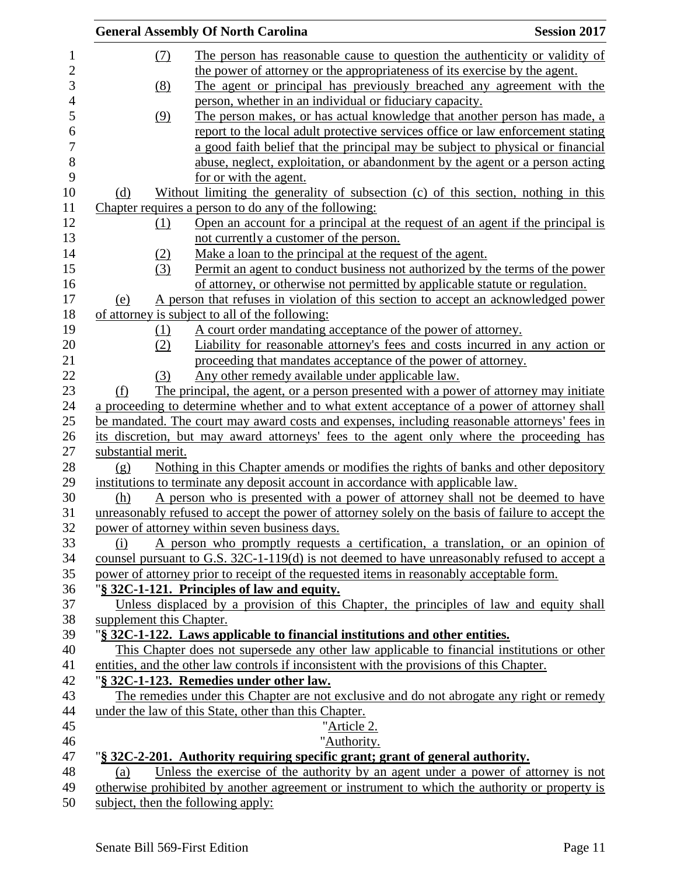|                          | <b>General Assembly Of North Carolina</b>                                                                                                                                                    | <b>Session 2017</b> |
|--------------------------|----------------------------------------------------------------------------------------------------------------------------------------------------------------------------------------------|---------------------|
| (7)                      | The person has reasonable cause to question the authenticity or validity of                                                                                                                  |                     |
|                          | the power of attorney or the appropriateness of its exercise by the agent.                                                                                                                   |                     |
| (8)                      | The agent or principal has previously breached any agreement with the                                                                                                                        |                     |
|                          | person, whether in an individual or fiduciary capacity.                                                                                                                                      |                     |
| (9)                      | The person makes, or has actual knowledge that another person has made, a                                                                                                                    |                     |
|                          | report to the local adult protective services office or law enforcement stating                                                                                                              |                     |
|                          |                                                                                                                                                                                              |                     |
|                          | a good faith belief that the principal may be subject to physical or financial                                                                                                               |                     |
|                          | abuse, neglect, exploitation, or abandonment by the agent or a person acting<br>for or with the agent.                                                                                       |                     |
| (d)                      | Without limiting the generality of subsection (c) of this section, nothing in this                                                                                                           |                     |
|                          | Chapter requires a person to do any of the following:                                                                                                                                        |                     |
| (1)                      | Open an account for a principal at the request of an agent if the principal is                                                                                                               |                     |
|                          | not currently a customer of the person.                                                                                                                                                      |                     |
| (2)                      | Make a loan to the principal at the request of the agent.                                                                                                                                    |                     |
| (3)                      | Permit an agent to conduct business not authorized by the terms of the power                                                                                                                 |                     |
|                          | of attorney, or otherwise not permitted by applicable statute or regulation.                                                                                                                 |                     |
|                          | A person that refuses in violation of this section to accept an acknowledged power                                                                                                           |                     |
| (e)                      | of attorney is subject to all of the following:                                                                                                                                              |                     |
|                          |                                                                                                                                                                                              |                     |
| (1)<br>(2)               | A court order mandating acceptance of the power of attorney.<br>Liability for reasonable attorney's fees and costs incurred in any action or                                                 |                     |
|                          | proceeding that mandates acceptance of the power of attorney.                                                                                                                                |                     |
| (3)                      | Any other remedy available under applicable law.                                                                                                                                             |                     |
|                          | The principal, the agent, or a person presented with a power of attorney may initiate                                                                                                        |                     |
| (f)                      |                                                                                                                                                                                              |                     |
|                          | a proceeding to determine whether and to what extent acceptance of a power of attorney shall<br>be mandated. The court may award costs and expenses, including reasonable attorneys' fees in |                     |
|                          | its discretion, but may award attorneys' fees to the agent only where the proceeding has                                                                                                     |                     |
| substantial merit.       |                                                                                                                                                                                              |                     |
| (g)                      | Nothing in this Chapter amends or modifies the rights of banks and other depository                                                                                                          |                     |
|                          | institutions to terminate any deposit account in accordance with applicable law.                                                                                                             |                     |
| (h)                      | A person who is presented with a power of attorney shall not be deemed to have                                                                                                               |                     |
|                          | unreasonably refused to accept the power of attorney solely on the basis of failure to accept the                                                                                            |                     |
|                          |                                                                                                                                                                                              |                     |
|                          | power of attorney within seven business days.                                                                                                                                                |                     |
| (i)                      | A person who promptly requests a certification, a translation, or an opinion of                                                                                                              |                     |
|                          | counsel pursuant to G.S. $32C-1-119(d)$ is not deemed to have unreasonably refused to accept a                                                                                               |                     |
|                          | power of attorney prior to receipt of the requested items in reasonably acceptable form.                                                                                                     |                     |
|                          | "§ 32C-1-121. Principles of law and equity.                                                                                                                                                  |                     |
|                          | Unless displaced by a provision of this Chapter, the principles of law and equity shall                                                                                                      |                     |
| supplement this Chapter. |                                                                                                                                                                                              |                     |
|                          | "§ 32C-1-122. Laws applicable to financial institutions and other entities.                                                                                                                  |                     |
|                          | This Chapter does not supersede any other law applicable to financial institutions or other                                                                                                  |                     |
|                          | entities, and the other law controls if inconsistent with the provisions of this Chapter.                                                                                                    |                     |
|                          | "§ 32C-1-123. Remedies under other law.                                                                                                                                                      |                     |
|                          | The remedies under this Chapter are not exclusive and do not abrogate any right or remedy                                                                                                    |                     |
|                          | under the law of this State, other than this Chapter.                                                                                                                                        |                     |
|                          | "Article 2.                                                                                                                                                                                  |                     |
|                          | "Authority.                                                                                                                                                                                  |                     |
|                          | "§ 32C-2-201. Authority requiring specific grant; grant of general authority.                                                                                                                |                     |
| (a)                      | Unless the exercise of the authority by an agent under a power of attorney is not                                                                                                            |                     |
|                          | otherwise prohibited by another agreement or instrument to which the authority or property is                                                                                                |                     |
|                          | subject, then the following apply:                                                                                                                                                           |                     |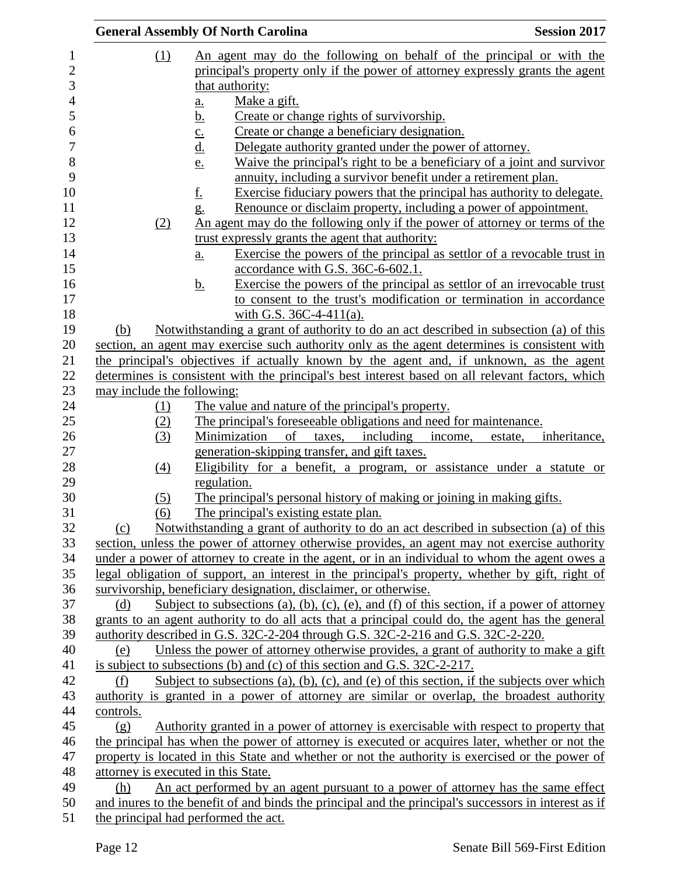|                                     | <b>General Assembly Of North Carolina</b>                                                                                                                                               | <b>Session 2017</b> |
|-------------------------------------|-----------------------------------------------------------------------------------------------------------------------------------------------------------------------------------------|---------------------|
| (1)                                 | An agent may do the following on behalf of the principal or with the                                                                                                                    |                     |
|                                     | principal's property only if the power of attorney expressly grants the agent                                                                                                           |                     |
|                                     | that authority:                                                                                                                                                                         |                     |
|                                     | Make a gift.<br>$\underline{\mathbf{a}}$ .                                                                                                                                              |                     |
|                                     | <u>b.</u><br>Create or change rights of survivorship.                                                                                                                                   |                     |
|                                     | Create or change a beneficiary designation.                                                                                                                                             |                     |
|                                     | $\frac{c}{d}$<br>Delegate authority granted under the power of attorney.                                                                                                                |                     |
|                                     | Waive the principal's right to be a beneficiary of a joint and survivor<br>e.                                                                                                           |                     |
|                                     | annuity, including a survivor benefit under a retirement plan.                                                                                                                          |                     |
|                                     | <u>f.</u><br>Exercise fiduciary powers that the principal has authority to delegate.                                                                                                    |                     |
|                                     | Renounce or disclaim property, including a power of appointment.<br>g.                                                                                                                  |                     |
| (2)                                 | An agent may do the following only if the power of attorney or terms of the                                                                                                             |                     |
|                                     | trust expressly grants the agent that authority:                                                                                                                                        |                     |
|                                     | Exercise the powers of the principal as settlor of a revocable trust in<br>$\underline{a}$ .                                                                                            |                     |
|                                     | accordance with G.S. 36C-6-602.1.                                                                                                                                                       |                     |
|                                     | Exercise the powers of the principal as settlor of an irrevocable trust<br><u>b.</u>                                                                                                    |                     |
|                                     | to consent to the trust's modification or termination in accordance                                                                                                                     |                     |
|                                     | with G.S. $36C-4-411(a)$ .                                                                                                                                                              |                     |
| (b)                                 | Notwithstanding a grant of authority to do an act described in subsection (a) of this                                                                                                   |                     |
|                                     | section, an agent may exercise such authority only as the agent determines is consistent with                                                                                           |                     |
|                                     | the principal's objectives if actually known by the agent and, if unknown, as the agent                                                                                                 |                     |
|                                     | determines is consistent with the principal's best interest based on all relevant factors, which                                                                                        |                     |
| may include the following:          |                                                                                                                                                                                         |                     |
| <u>(1)</u>                          | The value and nature of the principal's property.                                                                                                                                       |                     |
| (2)                                 | The principal's foreseeable obligations and need for maintenance.                                                                                                                       |                     |
| (3)                                 | of<br>Minimization<br>taxes, including<br>income,<br>estate,                                                                                                                            | inheritance,        |
|                                     | generation-skipping transfer, and gift taxes.                                                                                                                                           |                     |
| $\underline{(4)}$                   | Eligibility for a benefit, a program, or assistance under a statute or                                                                                                                  |                     |
|                                     | regulation.                                                                                                                                                                             |                     |
| (5)                                 | The principal's personal history of making or joining in making gifts.                                                                                                                  |                     |
| (6)                                 | The principal's existing estate plan.                                                                                                                                                   |                     |
| (c)                                 | Notwithstanding a grant of authority to do an act described in subsection (a) of this                                                                                                   |                     |
|                                     | section, unless the power of attorney otherwise provides, an agent may not exercise authority                                                                                           |                     |
|                                     | under a power of attorney to create in the agent, or in an individual to whom the agent owes a                                                                                          |                     |
|                                     | legal obligation of support, an interest in the principal's property, whether by gift, right of                                                                                         |                     |
|                                     | survivorship, beneficiary designation, disclaimer, or otherwise.                                                                                                                        |                     |
| (d)                                 | Subject to subsections (a), (b), (c), (e), and (f) of this section, if a power of attorney                                                                                              |                     |
|                                     | grants to an agent authority to do all acts that a principal could do, the agent has the general                                                                                        |                     |
|                                     | authority described in G.S. 32C-2-204 through G.S. 32C-2-216 and G.S. 32C-2-220.                                                                                                        |                     |
| (e)                                 | Unless the power of attorney otherwise provides, a grant of authority to make a gift                                                                                                    |                     |
|                                     | is subject to subsections (b) and (c) of this section and G.S. $32C-2-217$ .                                                                                                            |                     |
| (f)                                 | Subject to subsections (a), (b), (c), and (e) of this section, if the subjects over which                                                                                               |                     |
|                                     | authority is granted in a power of attorney are similar or overlap, the broadest authority                                                                                              |                     |
| controls.                           |                                                                                                                                                                                         |                     |
| (g)                                 | Authority granted in a power of attorney is exercisable with respect to property that<br>the principal has when the power of attorney is executed or acquires later, whether or not the |                     |
|                                     | property is located in this State and whether or not the authority is exercised or the power of                                                                                         |                     |
| attorney is executed in this State. |                                                                                                                                                                                         |                     |
| (h)                                 | An act performed by an agent pursuant to a power of attorney has the same effect                                                                                                        |                     |
|                                     | and inures to the benefit of and binds the principal and the principal's successors in interest as if                                                                                   |                     |
|                                     | the principal had performed the act.                                                                                                                                                    |                     |
|                                     |                                                                                                                                                                                         |                     |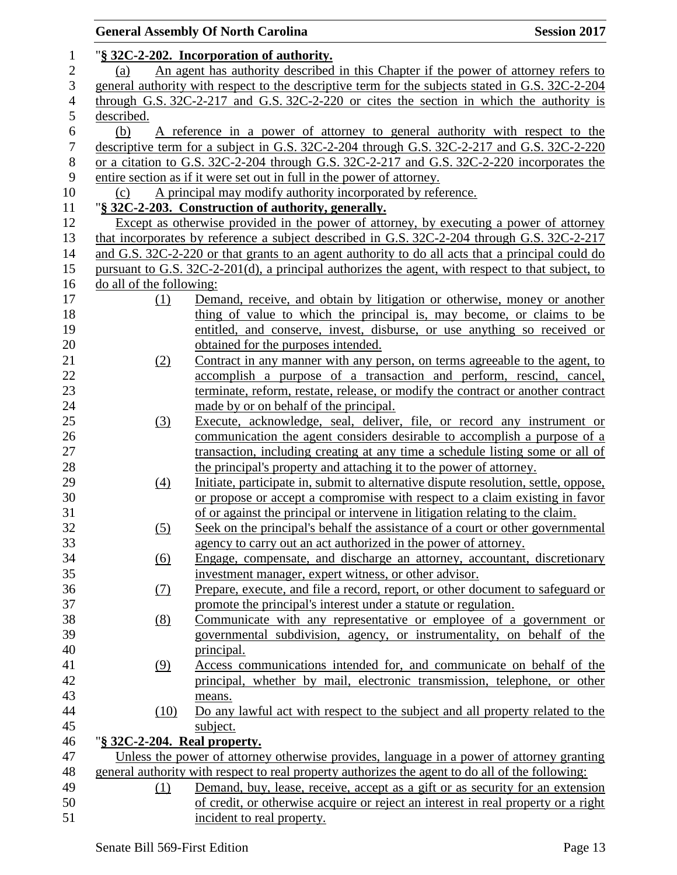|                  |                              | <b>General Assembly Of North Carolina</b><br><b>Session 2017</b>                                  |
|------------------|------------------------------|---------------------------------------------------------------------------------------------------|
| 1                |                              | "§ 32C-2-202. Incorporation of authority.                                                         |
| $\mathbf{2}$     | (a)                          | An agent has authority described in this Chapter if the power of attorney refers to               |
| 3                |                              | general authority with respect to the descriptive term for the subjects stated in G.S. 32C-2-204  |
| $\overline{4}$   |                              | through G.S. $32C-2-217$ and G.S. $32C-2-220$ or cites the section in which the authority is      |
| 5                | described.                   |                                                                                                   |
| 6                | (b)                          | A reference in a power of attorney to general authority with respect to the                       |
| $\boldsymbol{7}$ |                              | descriptive term for a subject in G.S. 32C-2-204 through G.S. 32C-2-217 and G.S. 32C-2-220        |
| $8\,$            |                              | or a citation to G.S. 32C-2-204 through G.S. 32C-2-217 and G.S. 32C-2-220 incorporates the        |
| 9                |                              | entire section as if it were set out in full in the power of attorney.                            |
| 10               | (c)                          | A principal may modify authority incorporated by reference.                                       |
| 11               |                              | "§ 32C-2-203. Construction of authority, generally.                                               |
| 12               |                              | Except as otherwise provided in the power of attorney, by executing a power of attorney           |
| 13               |                              | that incorporates by reference a subject described in G.S. 32C-2-204 through G.S. 32C-2-217       |
| 14               |                              | and G.S. 32C-2-220 or that grants to an agent authority to do all acts that a principal could do  |
| 15               |                              | pursuant to G.S. 32C-2-201(d), a principal authorizes the agent, with respect to that subject, to |
| 16               | do all of the following:     |                                                                                                   |
| 17               | (1)                          | Demand, receive, and obtain by litigation or otherwise, money or another                          |
| 18               |                              | thing of value to which the principal is, may become, or claims to be                             |
| 19               |                              | entitled, and conserve, invest, disburse, or use anything so received or                          |
| 20               |                              | obtained for the purposes intended.                                                               |
| 21               | (2)                          | Contract in any manner with any person, on terms agreeable to the agent, to                       |
| 22               |                              | accomplish a purpose of a transaction and perform, rescind, cancel,                               |
| 23               |                              | terminate, reform, restate, release, or modify the contract or another contract                   |
| 24               |                              | made by or on behalf of the principal.                                                            |
| 25               | (3)                          | Execute, acknowledge, seal, deliver, file, or record any instrument or                            |
| 26               |                              | communication the agent considers desirable to accomplish a purpose of a                          |
| 27               |                              | transaction, including creating at any time a schedule listing some or all of                     |
| 28               |                              | the principal's property and attaching it to the power of attorney.                               |
| 29               | $\left(4\right)$             | Initiate, participate in, submit to alternative dispute resolution, settle, oppose,               |
| 30               |                              | or propose or accept a compromise with respect to a claim existing in favor                       |
| 31               |                              | of or against the principal or intervene in litigation relating to the claim.                     |
| 32               | (5)                          | Seek on the principal's behalf the assistance of a court or other governmental                    |
| 33               |                              | agency to carry out an act authorized in the power of attorney.                                   |
| 34               | (6)                          | Engage, compensate, and discharge an attorney, accountant, discretionary                          |
| 35               |                              | investment manager, expert witness, or other advisor.                                             |
| 36               | (7)                          | Prepare, execute, and file a record, report, or other document to safeguard or                    |
| 37               |                              | promote the principal's interest under a statute or regulation.                                   |
| 38               | (8)                          | Communicate with any representative or employee of a government or                                |
| 39               |                              | governmental subdivision, agency, or instrumentality, on behalf of the                            |
| 40               |                              | principal.                                                                                        |
| 41               | (9)                          | Access communications intended for, and communicate on behalf of the                              |
| 42               |                              | principal, whether by mail, electronic transmission, telephone, or other                          |
| 43               |                              | means.                                                                                            |
| 44               | (10)                         | Do any lawful act with respect to the subject and all property related to the                     |
| 45               |                              | subject.                                                                                          |
| 46               | "§ 32C-2-204. Real property. |                                                                                                   |
| 47               |                              | Unless the power of attorney otherwise provides, language in a power of attorney granting         |
| 48               |                              | general authority with respect to real property authorizes the agent to do all of the following:  |
| 49               | (1)                          | Demand, buy, lease, receive, accept as a gift or as security for an extension                     |
| 50               |                              | of credit, or otherwise acquire or reject an interest in real property or a right                 |
| 51               |                              | incident to real property.                                                                        |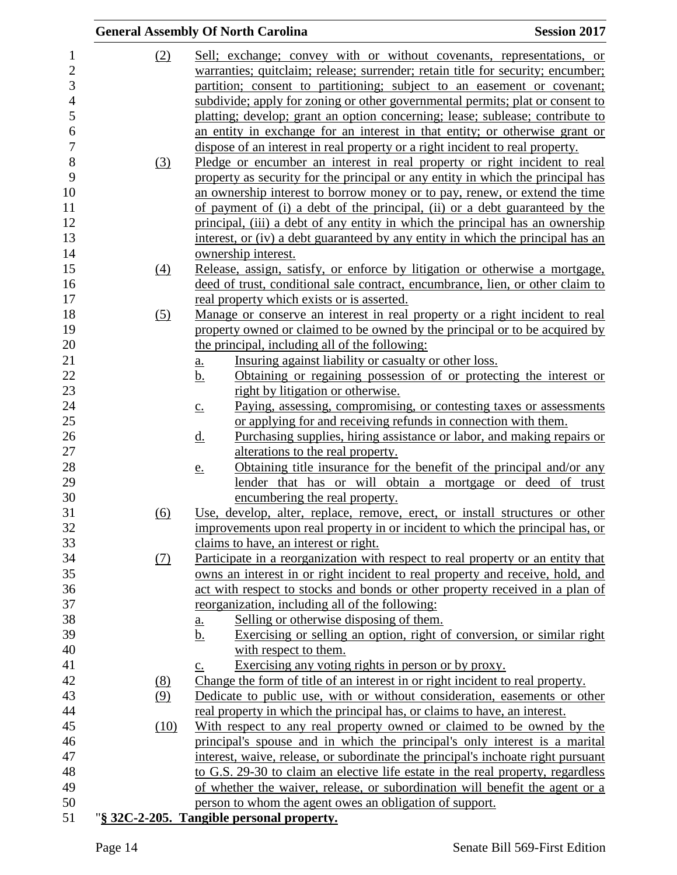|      | <b>General Assembly Of North Carolina</b>                                                | <b>Session 2017</b> |
|------|------------------------------------------------------------------------------------------|---------------------|
| (2)  | <u>Sell; exchange; convey with or without covenants, representations, or</u>             |                     |
|      | warranties; quitclaim; release; surrender; retain title for security; encumber;          |                     |
|      | partition; consent to partitioning; subject to an easement or covenant;                  |                     |
|      | subdivide; apply for zoning or other governmental permits; plat or consent to            |                     |
|      | platting; develop; grant an option concerning; lease; sublease; contribute to            |                     |
|      | an entity in exchange for an interest in that entity; or otherwise grant or              |                     |
|      | dispose of an interest in real property or a right incident to real property.            |                     |
| (3)  | Pledge or encumber an interest in real property or right incident to real                |                     |
|      | property as security for the principal or any entity in which the principal has          |                     |
|      | an ownership interest to borrow money or to pay, renew, or extend the time               |                     |
|      | of payment of (i) a debt of the principal, (ii) or a debt guaranteed by the              |                     |
|      | principal, (iii) a debt of any entity in which the principal has an ownership            |                     |
|      | interest, or (iv) a debt guaranteed by any entity in which the principal has an          |                     |
|      | ownership interest.                                                                      |                     |
| (4)  | Release, assign, satisfy, or enforce by litigation or otherwise a mortgage,              |                     |
|      | deed of trust, conditional sale contract, encumbrance, lien, or other claim to           |                     |
|      | real property which exists or is asserted.                                               |                     |
| (5)  | Manage or conserve an interest in real property or a right incident to real              |                     |
|      | property owned or claimed to be owned by the principal or to be acquired by              |                     |
|      | the principal, including all of the following:                                           |                     |
|      | Insuring against liability or casualty or other loss.<br><u>a.</u>                       |                     |
|      | Obtaining or regaining possession of or protecting the interest or<br><u>b.</u>          |                     |
|      | right by litigation or otherwise.                                                        |                     |
|      | Paying, assessing, compromising, or contesting taxes or assessments<br>$\underline{C}$ . |                     |
|      | or applying for and receiving refunds in connection with them.                           |                     |
|      | Purchasing supplies, hiring assistance or labor, and making repairs or<br><u>d.</u>      |                     |
|      | alterations to the real property.                                                        |                     |
|      | Obtaining title insurance for the benefit of the principal and/or any<br><u>e.</u>       |                     |
|      | lender that has or will obtain a mortgage or deed of trust                               |                     |
|      | encumbering the real property.                                                           |                     |
| (6)  | Use, develop, alter, replace, remove, erect, or install structures or other              |                     |
|      | improvements upon real property in or incident to which the principal has, or            |                     |
|      | claims to have, an interest or right.                                                    |                     |
| (7)  | Participate in a reorganization with respect to real property or an entity that          |                     |
|      | owns an interest in or right incident to real property and receive, hold, and            |                     |
|      | act with respect to stocks and bonds or other property received in a plan of             |                     |
|      | reorganization, including all of the following:                                          |                     |
|      | Selling or otherwise disposing of them.<br><u>a.</u>                                     |                     |
|      | Exercising or selling an option, right of conversion, or similar right<br><u>b.</u>      |                     |
|      | with respect to them.                                                                    |                     |
|      | Exercising any voting rights in person or by proxy.<br>c.                                |                     |
| (8)  | Change the form of title of an interest in or right incident to real property.           |                     |
| (9)  | Dedicate to public use, with or without consideration, easements or other                |                     |
|      | real property in which the principal has, or claims to have, an interest.                |                     |
| (10) | With respect to any real property owned or claimed to be owned by the                    |                     |
|      | principal's spouse and in which the principal's only interest is a marital               |                     |
|      | interest, waive, release, or subordinate the principal's inchoate right pursuant         |                     |
|      | to G.S. 29-30 to claim an elective life estate in the real property, regardless          |                     |
|      | of whether the waiver, release, or subordination will benefit the agent or a             |                     |
|      |                                                                                          |                     |
|      | person to whom the agent owes an obligation of support.                                  |                     |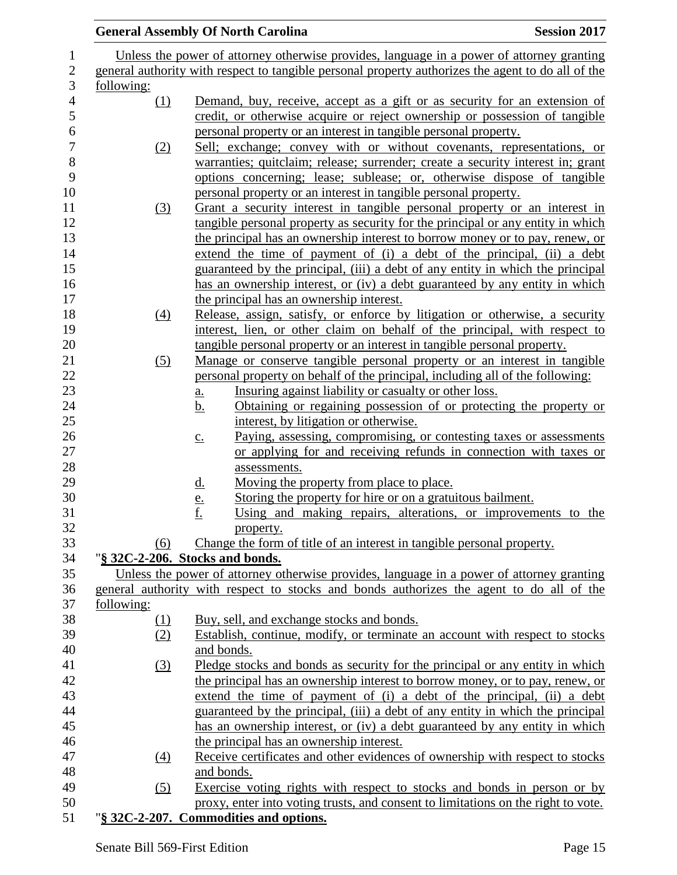|            | <b>General Assembly Of North Carolina</b>                                                                                                                       | <b>Session 2017</b> |
|------------|-----------------------------------------------------------------------------------------------------------------------------------------------------------------|---------------------|
|            | Unless the power of attorney otherwise provides, language in a power of attorney granting                                                                       |                     |
|            | general authority with respect to tangible personal property authorizes the agent to do all of the                                                              |                     |
| following: |                                                                                                                                                                 |                     |
| (1)        | Demand, buy, receive, accept as a gift or as security for an extension of                                                                                       |                     |
|            | credit, or otherwise acquire or reject ownership or possession of tangible                                                                                      |                     |
|            | personal property or an interest in tangible personal property.                                                                                                 |                     |
| (2)        | Sell; exchange; convey with or without covenants, representations, or                                                                                           |                     |
|            | warranties; quitclaim; release; surrender; create a security interest in; grant                                                                                 |                     |
|            | options concerning; lease; sublease; or, otherwise dispose of tangible                                                                                          |                     |
|            | personal property or an interest in tangible personal property.                                                                                                 |                     |
| (3)        | Grant a security interest in tangible personal property or an interest in                                                                                       |                     |
|            | tangible personal property as security for the principal or any entity in which<br>the principal has an ownership interest to borrow money or to pay, renew, or |                     |
|            | extend the time of payment of (i) a debt of the principal, (ii) a debt                                                                                          |                     |
|            | guaranteed by the principal, (iii) a debt of any entity in which the principal                                                                                  |                     |
|            | has an ownership interest, or (iv) a debt guaranteed by any entity in which                                                                                     |                     |
|            | the principal has an ownership interest.                                                                                                                        |                     |
| (4)        | Release, assign, satisfy, or enforce by litigation or otherwise, a security                                                                                     |                     |
|            | interest, lien, or other claim on behalf of the principal, with respect to                                                                                      |                     |
|            | tangible personal property or an interest in tangible personal property.                                                                                        |                     |
| (5)        | Manage or conserve tangible personal property or an interest in tangible                                                                                        |                     |
|            | personal property on behalf of the principal, including all of the following:                                                                                   |                     |
|            | Insuring against liability or casualty or other loss.<br><u>a.</u>                                                                                              |                     |
|            | Obtaining or regaining possession of or protecting the property or<br><u>b.</u>                                                                                 |                     |
|            | interest, by litigation or otherwise.                                                                                                                           |                     |
|            | Paying, assessing, compromising, or contesting taxes or assessments<br>$\underline{c}$ .<br>or applying for and receiving refunds in connection with taxes or   |                     |
|            | assessments.                                                                                                                                                    |                     |
|            | Moving the property from place to place.<br><u>d.</u>                                                                                                           |                     |
|            | Storing the property for hire or on a gratuitous bailment.                                                                                                      |                     |
|            | $\frac{e}{f}$<br>Using and making repairs, alterations, or improvements to the                                                                                  |                     |
|            | property.                                                                                                                                                       |                     |
| (6)        | Change the form of title of an interest in tangible personal property.                                                                                          |                     |
|            | "§ 32C-2-206. Stocks and bonds.                                                                                                                                 |                     |
|            | Unless the power of attorney otherwise provides, language in a power of attorney granting                                                                       |                     |
|            | general authority with respect to stocks and bonds authorizes the agent to do all of the                                                                        |                     |
| following: |                                                                                                                                                                 |                     |
| $\Omega$   | Buy, sell, and exchange stocks and bonds.                                                                                                                       |                     |
| (2)        | Establish, continue, modify, or terminate an account with respect to stocks                                                                                     |                     |
|            | and bonds.                                                                                                                                                      |                     |
| (3)        | Pledge stocks and bonds as security for the principal or any entity in which<br>the principal has an ownership interest to borrow money, or to pay, renew, or   |                     |
|            | extend the time of payment of (i) a debt of the principal, (ii) a debt                                                                                          |                     |
|            | guaranteed by the principal, (iii) a debt of any entity in which the principal                                                                                  |                     |
|            | has an ownership interest, or (iv) a debt guaranteed by any entity in which                                                                                     |                     |
|            | the principal has an ownership interest.                                                                                                                        |                     |
| (4)        | Receive certificates and other evidences of ownership with respect to stocks                                                                                    |                     |
|            | and bonds.                                                                                                                                                      |                     |
| (5)        | Exercise voting rights with respect to stocks and bonds in person or by                                                                                         |                     |
|            | proxy, enter into voting trusts, and consent to limitations on the right to vote.                                                                               |                     |
|            | "§ 32C-2-207. Commodities and options.                                                                                                                          |                     |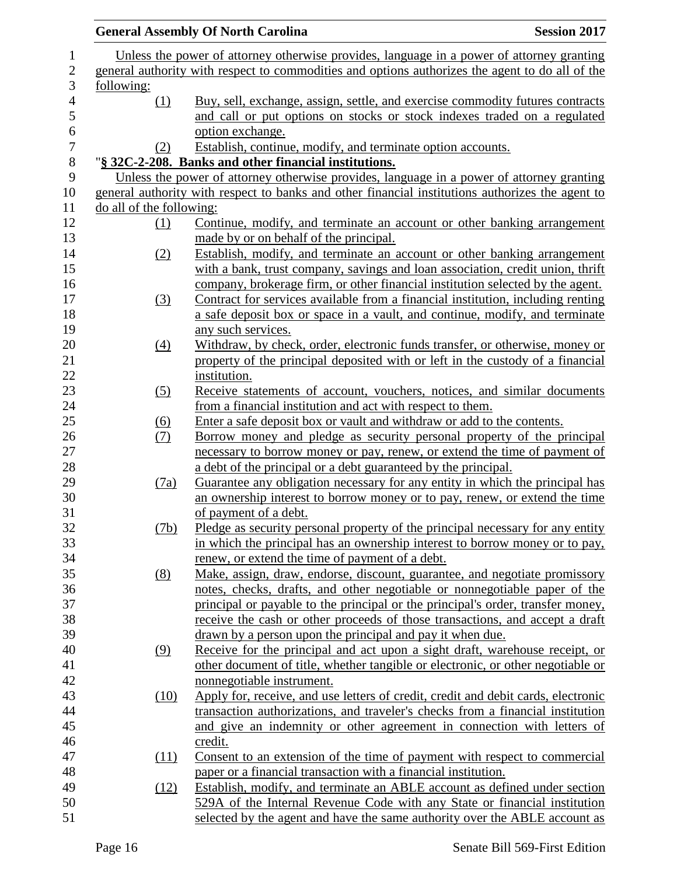|                          | <b>General Assembly Of North Carolina</b>                                                        | <b>Session 2017</b> |
|--------------------------|--------------------------------------------------------------------------------------------------|---------------------|
|                          | Unless the power of attorney otherwise provides, language in a power of attorney granting        |                     |
|                          | general authority with respect to commodities and options authorizes the agent to do all of the  |                     |
| following:               |                                                                                                  |                     |
| (1)                      | Buy, sell, exchange, assign, settle, and exercise commodity futures contracts                    |                     |
|                          | and call or put options on stocks or stock indexes traded on a regulated                         |                     |
|                          | option exchange.                                                                                 |                     |
| (2)                      | Establish, continue, modify, and terminate option accounts.                                      |                     |
|                          | "§ 32C-2-208. Banks and other financial institutions.                                            |                     |
|                          | Unless the power of attorney otherwise provides, language in a power of attorney granting        |                     |
|                          | general authority with respect to banks and other financial institutions authorizes the agent to |                     |
| do all of the following: |                                                                                                  |                     |
|                          | Continue, modify, and terminate an account or other banking arrangement                          |                     |
| <u>(1)</u>               |                                                                                                  |                     |
|                          | made by or on behalf of the principal.                                                           |                     |
| (2)                      | Establish, modify, and terminate an account or other banking arrangement                         |                     |
|                          | with a bank, trust company, savings and loan association, credit union, thrift                   |                     |
|                          | company, brokerage firm, or other financial institution selected by the agent.                   |                     |
| (3)                      | Contract for services available from a financial institution, including renting                  |                     |
|                          | a safe deposit box or space in a vault, and continue, modify, and terminate                      |                     |
|                          | any such services.                                                                               |                     |
| $\left(4\right)$         | Withdraw, by check, order, electronic funds transfer, or otherwise, money or                     |                     |
|                          | property of the principal deposited with or left in the custody of a financial<br>institution.   |                     |
| (5)                      | Receive statements of account, vouchers, notices, and similar documents                          |                     |
|                          | from a financial institution and act with respect to them.                                       |                     |
| $\underline{(6)}$        | Enter a safe deposit box or vault and withdraw or add to the contents.                           |                     |
| (7)                      | Borrow money and pledge as security personal property of the principal                           |                     |
|                          | necessary to borrow money or pay, renew, or extend the time of payment of                        |                     |
|                          | a debt of the principal or a debt guaranteed by the principal.                                   |                     |
| (7a)                     | Guarantee any obligation necessary for any entity in which the principal has                     |                     |
|                          | an ownership interest to borrow money or to pay, renew, or extend the time                       |                     |
|                          | of payment of a debt.                                                                            |                     |
| (7b)                     | Pledge as security personal property of the principal necessary for any entity                   |                     |
|                          | in which the principal has an ownership interest to borrow money or to pay,                      |                     |
|                          | renew, or extend the time of payment of a debt.                                                  |                     |
| (8)                      | Make, assign, draw, endorse, discount, guarantee, and negotiate promissory                       |                     |
|                          | notes, checks, drafts, and other negotiable or nonnegotiable paper of the                        |                     |
|                          | principal or payable to the principal or the principal's order, transfer money,                  |                     |
|                          | receive the cash or other proceeds of those transactions, and accept a draft                     |                     |
|                          | drawn by a person upon the principal and pay it when due.                                        |                     |
| (9)                      | Receive for the principal and act upon a sight draft, warehouse receipt, or                      |                     |
|                          | other document of title, whether tangible or electronic, or other negotiable or                  |                     |
|                          | nonnegotiable instrument.                                                                        |                     |
| (10)                     | Apply for, receive, and use letters of credit, credit and debit cards, electronic                |                     |
|                          | transaction authorizations, and traveler's checks from a financial institution                   |                     |
|                          | and give an indemnity or other agreement in connection with letters of                           |                     |
|                          | credit.                                                                                          |                     |
| (11)                     | Consent to an extension of the time of payment with respect to commercial                        |                     |
|                          | paper or a financial transaction with a financial institution.                                   |                     |
| (12)                     | Establish, modify, and terminate an ABLE account as defined under section                        |                     |
|                          |                                                                                                  |                     |
|                          | 529A of the Internal Revenue Code with any State or financial institution                        |                     |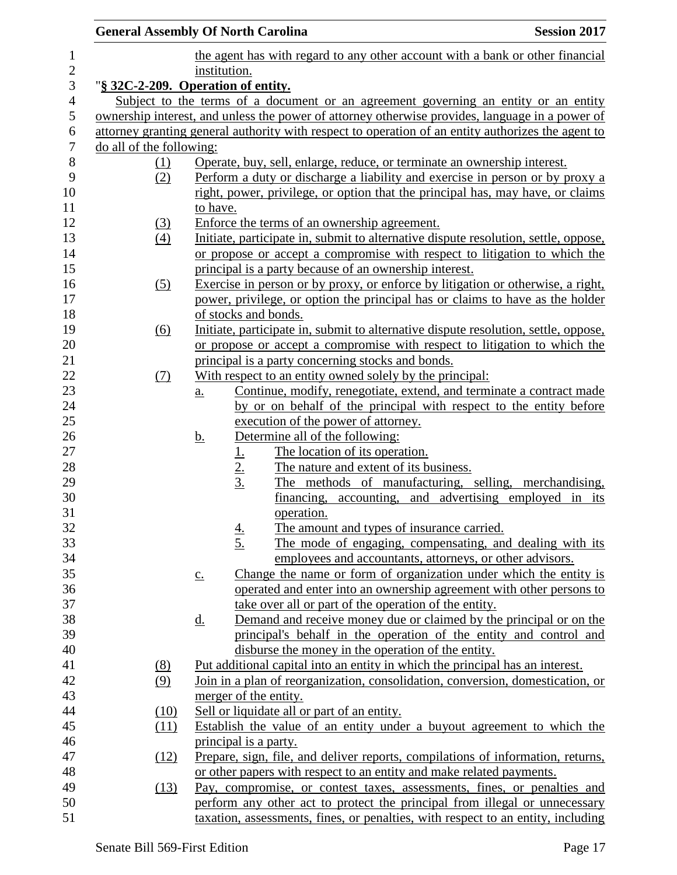| <b>General Assembly Of North Carolina</b> |      |                                |                                                                                                                                  | <b>Session 2017</b> |
|-------------------------------------------|------|--------------------------------|----------------------------------------------------------------------------------------------------------------------------------|---------------------|
|                                           |      |                                | the agent has with regard to any other account with a bank or other financial                                                    |                     |
|                                           |      | institution.                   |                                                                                                                                  |                     |
| "§ 32C-2-209. Operation of entity.        |      |                                |                                                                                                                                  |                     |
|                                           |      |                                | Subject to the terms of a document or an agreement governing an entity or an entity                                              |                     |
|                                           |      |                                | ownership interest, and unless the power of attorney otherwise provides, language in a power of                                  |                     |
|                                           |      |                                | attorney granting general authority with respect to operation of an entity authorizes the agent to                               |                     |
| do all of the following:                  |      |                                |                                                                                                                                  |                     |
| (1)                                       |      |                                | Operate, buy, sell, enlarge, reduce, or terminate an ownership interest.                                                         |                     |
| (2)                                       |      |                                | Perform a duty or discharge a liability and exercise in person or by proxy a                                                     |                     |
|                                           |      |                                | right, power, privilege, or option that the principal has, may have, or claims                                                   |                     |
|                                           |      | to have.                       |                                                                                                                                  |                     |
| $\left(3\right)$                          |      |                                | Enforce the terms of an ownership agreement.                                                                                     |                     |
| $\left(4\right)$                          |      |                                | Initiate, participate in, submit to alternative dispute resolution, settle, oppose,                                              |                     |
|                                           |      |                                | or propose or accept a compromise with respect to litigation to which the                                                        |                     |
|                                           |      |                                | principal is a party because of an ownership interest.                                                                           |                     |
| (5)                                       |      |                                | Exercise in person or by proxy, or enforce by litigation or otherwise, a right,                                                  |                     |
|                                           |      |                                | power, privilege, or option the principal has or claims to have as the holder                                                    |                     |
|                                           |      | of stocks and bonds.           |                                                                                                                                  |                     |
| $\underline{(6)}$                         |      |                                | Initiate, participate in, submit to alternative dispute resolution, settle, oppose,                                              |                     |
|                                           |      |                                | or propose or accept a compromise with respect to litigation to which the                                                        |                     |
|                                           |      |                                | principal is a party concerning stocks and bonds.                                                                                |                     |
| (7)                                       |      |                                | With respect to an entity owned solely by the principal:<br>Continue, modify, renegotiate, extend, and terminate a contract made |                     |
|                                           |      | <u>a.</u>                      | by or on behalf of the principal with respect to the entity before                                                               |                     |
|                                           |      |                                | execution of the power of attorney.                                                                                              |                     |
|                                           |      | <u>b.</u>                      | Determine all of the following:                                                                                                  |                     |
|                                           |      |                                | The location of its operation.                                                                                                   |                     |
|                                           |      | $\frac{1}{2}$<br>$\frac{2}{3}$ | The nature and extent of its business.                                                                                           |                     |
|                                           |      |                                | The methods of manufacturing, selling, merchandising,                                                                            |                     |
|                                           |      |                                | financing, accounting, and advertising employed in its                                                                           |                     |
|                                           |      |                                | operation.                                                                                                                       |                     |
|                                           |      |                                | The amount and types of insurance carried.                                                                                       |                     |
|                                           |      | $\frac{4}{5}$                  | The mode of engaging, compensating, and dealing with its                                                                         |                     |
|                                           |      |                                | employees and accountants, attorneys, or other advisors.                                                                         |                     |
|                                           |      | $\underline{c}$ .              | Change the name or form of organization under which the entity is                                                                |                     |
|                                           |      |                                | operated and enter into an ownership agreement with other persons to                                                             |                     |
|                                           |      |                                | take over all or part of the operation of the entity.                                                                            |                     |
|                                           |      | <u>d.</u>                      | Demand and receive money due or claimed by the principal or on the                                                               |                     |
|                                           |      |                                | principal's behalf in the operation of the entity and control and                                                                |                     |
|                                           |      |                                | disburse the money in the operation of the entity.                                                                               |                     |
| (8)                                       |      |                                | Put additional capital into an entity in which the principal has an interest.                                                    |                     |
| (9)                                       |      |                                | Join in a plan of reorganization, consolidation, conversion, domestication, or                                                   |                     |
|                                           |      | merger of the entity.          |                                                                                                                                  |                     |
|                                           | (10) |                                | Sell or liquidate all or part of an entity.                                                                                      |                     |
|                                           | (11) |                                | Establish the value of an entity under a buyout agreement to which the                                                           |                     |
|                                           |      | principal is a party.          |                                                                                                                                  |                     |
|                                           | (12) |                                | Prepare, sign, file, and deliver reports, compilations of information, returns,                                                  |                     |
|                                           |      |                                | or other papers with respect to an entity and make related payments.                                                             |                     |
|                                           | (13) |                                | Pay, compromise, or contest taxes, assessments, fines, or penalties and                                                          |                     |
|                                           |      |                                | perform any other act to protect the principal from illegal or unnecessary                                                       |                     |
|                                           |      |                                | taxation, assessments, fines, or penalties, with respect to an entity, including                                                 |                     |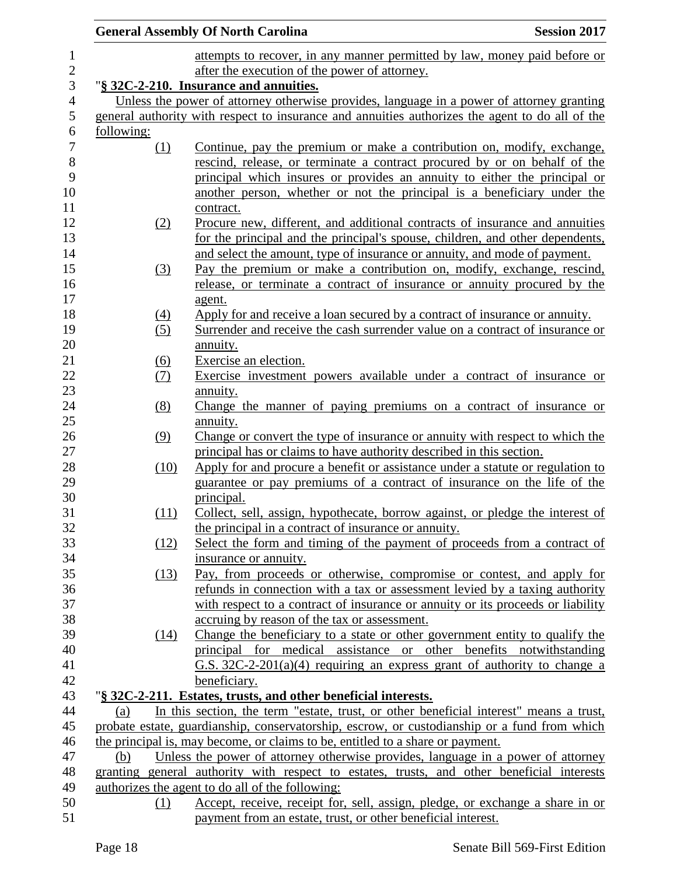|                   | <b>General Assembly Of North Carolina</b><br><b>Session 2017</b>                                                                                                                                                                                                                                                         |
|-------------------|--------------------------------------------------------------------------------------------------------------------------------------------------------------------------------------------------------------------------------------------------------------------------------------------------------------------------|
|                   | attempts to recover, in any manner permitted by law, money paid before or                                                                                                                                                                                                                                                |
|                   | after the execution of the power of attorney.                                                                                                                                                                                                                                                                            |
|                   | "§ 32C-2-210. Insurance and annuities.                                                                                                                                                                                                                                                                                   |
|                   | Unless the power of attorney otherwise provides, language in a power of attorney granting                                                                                                                                                                                                                                |
|                   | general authority with respect to insurance and annuities authorizes the agent to do all of the                                                                                                                                                                                                                          |
| <u>following:</u> |                                                                                                                                                                                                                                                                                                                          |
| (1)               | Continue, pay the premium or make a contribution on, modify, exchange,<br>rescind, release, or terminate a contract procured by or on behalf of the<br>principal which insures or provides an annuity to either the principal or<br>another person, whether or not the principal is a beneficiary under the<br>contract. |
| (2)               | Procure new, different, and additional contracts of insurance and annuities<br>for the principal and the principal's spouse, children, and other dependents,<br>and select the amount, type of insurance or annuity, and mode of payment.                                                                                |
| (3)               | Pay the premium or make a contribution on, modify, exchange, rescind,<br>release, or terminate a contract of insurance or annuity procured by the<br>agent.                                                                                                                                                              |
| (4)               | Apply for and receive a loan secured by a contract of insurance or annuity.                                                                                                                                                                                                                                              |
| (5)               | Surrender and receive the cash surrender value on a contract of insurance or<br>annuity.                                                                                                                                                                                                                                 |
| (6)               | Exercise an election.                                                                                                                                                                                                                                                                                                    |
| <u>(7)</u>        | Exercise investment powers available under a contract of insurance or                                                                                                                                                                                                                                                    |
|                   | annuity.                                                                                                                                                                                                                                                                                                                 |
| (8)               | Change the manner of paying premiums on a contract of insurance or<br>annuity.                                                                                                                                                                                                                                           |
| (9)               | Change or convert the type of insurance or annuity with respect to which the<br>principal has or claims to have authority described in this section.                                                                                                                                                                     |
| (10)              | Apply for and procure a benefit or assistance under a statute or regulation to<br>guarantee or pay premiums of a contract of insurance on the life of the<br>principal.                                                                                                                                                  |
| (11)              | Collect, sell, assign, hypothecate, borrow against, or pledge the interest of<br>the principal in a contract of insurance or annuity.                                                                                                                                                                                    |
| (12)              | Select the form and timing of the payment of proceeds from a contract of                                                                                                                                                                                                                                                 |
|                   | insurance or annuity.                                                                                                                                                                                                                                                                                                    |
| (13)              | Pay, from proceeds or otherwise, compromise or contest, and apply for<br>refunds in connection with a tax or assessment levied by a taxing authority                                                                                                                                                                     |
|                   | with respect to a contract of insurance or annuity or its proceeds or liability                                                                                                                                                                                                                                          |
|                   | accruing by reason of the tax or assessment.                                                                                                                                                                                                                                                                             |
| (14)              | Change the beneficiary to a state or other government entity to qualify the<br>principal for medical assistance or other benefits notwithstanding                                                                                                                                                                        |
|                   | G.S. $32C-2-201(a)(4)$ requiring an express grant of authority to change a                                                                                                                                                                                                                                               |
|                   | beneficiary.                                                                                                                                                                                                                                                                                                             |
|                   | "§ 32C-2-211. Estates, trusts, and other beneficial interests.                                                                                                                                                                                                                                                           |
| (a)               | In this section, the term "estate, trust, or other beneficial interest" means a trust,                                                                                                                                                                                                                                   |
|                   | probate estate, guardianship, conservatorship, escrow, or custodianship or a fund from which                                                                                                                                                                                                                             |
|                   | the principal is, may become, or claims to be, entitled to a share or payment.                                                                                                                                                                                                                                           |
| (b)               | Unless the power of attorney otherwise provides, language in a power of attorney                                                                                                                                                                                                                                         |
|                   | granting general authority with respect to estates, trusts, and other beneficial interests                                                                                                                                                                                                                               |
|                   | authorizes the agent to do all of the following:                                                                                                                                                                                                                                                                         |
| (1)               | Accept, receive, receipt for, sell, assign, pledge, or exchange a share in or                                                                                                                                                                                                                                            |
|                   | payment from an estate, trust, or other beneficial interest.                                                                                                                                                                                                                                                             |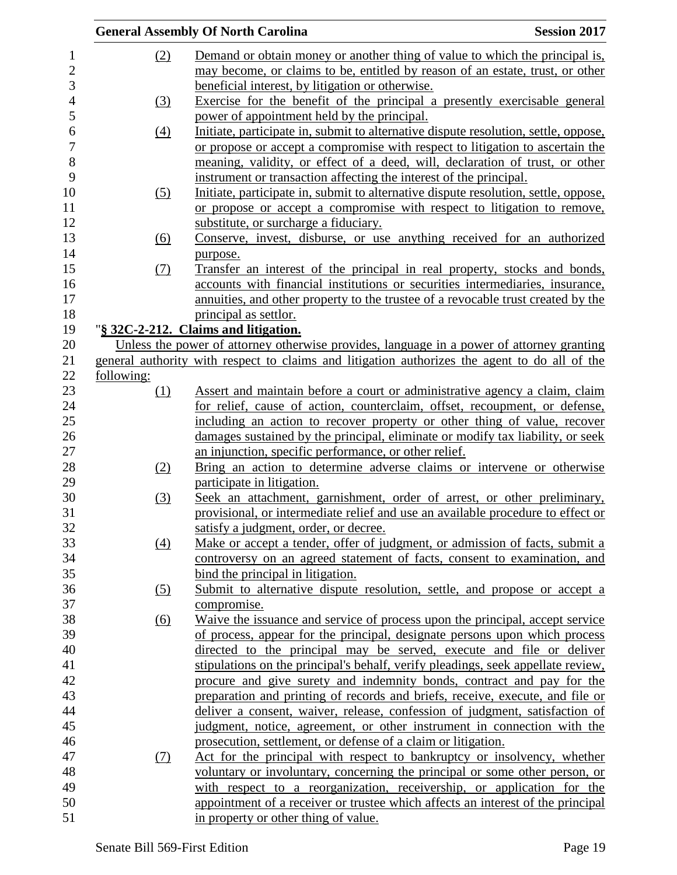|                  |            | <b>General Assembly Of North Carolina</b>                                                     | <b>Session 2017</b> |
|------------------|------------|-----------------------------------------------------------------------------------------------|---------------------|
| 1                | (2)        | Demand or obtain money or another thing of value to which the principal is,                   |                     |
| $\overline{c}$   |            | may become, or claims to be, entitled by reason of an estate, trust, or other                 |                     |
| 3                |            | beneficial interest, by litigation or otherwise.                                              |                     |
| $\overline{4}$   | (3)        | Exercise for the benefit of the principal a presently exercisable general                     |                     |
| 5                |            | power of appointment held by the principal.                                                   |                     |
| 6                | (4)        | Initiate, participate in, submit to alternative dispute resolution, settle, oppose,           |                     |
| $\boldsymbol{7}$ |            | or propose or accept a compromise with respect to litigation to ascertain the                 |                     |
| 8                |            | meaning, validity, or effect of a deed, will, declaration of trust, or other                  |                     |
| 9                |            | instrument or transaction affecting the interest of the principal.                            |                     |
| 10               | (5)        | Initiate, participate in, submit to alternative dispute resolution, settle, oppose,           |                     |
| 11               |            | or propose or accept a compromise with respect to litigation to remove,                       |                     |
| 12               |            | substitute, or surcharge a fiduciary.                                                         |                     |
| 13               | (6)        | Conserve, invest, disburse, or use anything received for an authorized                        |                     |
| 14               |            | purpose.                                                                                      |                     |
| 15               | (7)        | Transfer an interest of the principal in real property, stocks and bonds,                     |                     |
| 16               |            | accounts with financial institutions or securities intermediaries, insurance,                 |                     |
| 17               |            | annuities, and other property to the trustee of a revocable trust created by the              |                     |
| 18               |            | principal as settlor.                                                                         |                     |
| 19               |            | "§ 32C-2-212. Claims and litigation.                                                          |                     |
| 20               |            | Unless the power of attorney otherwise provides, language in a power of attorney granting     |                     |
| 21               |            | general authority with respect to claims and litigation authorizes the agent to do all of the |                     |
| 22               | following: |                                                                                               |                     |
| 23               | (1)        | Assert and maintain before a court or administrative agency a claim, claim                    |                     |
| 24               |            | for relief, cause of action, counterclaim, offset, recoupment, or defense,                    |                     |
| 25               |            | including an action to recover property or other thing of value, recover                      |                     |
| $26\,$           |            | damages sustained by the principal, eliminate or modify tax liability, or seek                |                     |
| 27               |            | an injunction, specific performance, or other relief.                                         |                     |
| 28               | (2)        | Bring an action to determine adverse claims or intervene or otherwise                         |                     |
| 29               |            | participate in litigation.                                                                    |                     |
| $30\,$           | (3)        | Seek an attachment, garnishment, order of arrest, or other preliminary,                       |                     |
| 31               |            | provisional, or intermediate relief and use an available procedure to effect or               |                     |
| 32               |            | satisfy a judgment, order, or decree.                                                         |                     |
| 33               | (4)        | Make or accept a tender, offer of judgment, or admission of facts, submit a                   |                     |
| 34               |            | controversy on an agreed statement of facts, consent to examination, and                      |                     |
| 35               |            | bind the principal in litigation.                                                             |                     |
| 36               | (5)        | Submit to alternative dispute resolution, settle, and propose or accept a                     |                     |
| 37               |            | compromise.                                                                                   |                     |
| 38               | <u>(6)</u> | Waive the issuance and service of process upon the principal, accept service                  |                     |
| 39               |            | of process, appear for the principal, designate persons upon which process                    |                     |
| 40               |            | directed to the principal may be served, execute and file or deliver                          |                     |
| 41               |            | stipulations on the principal's behalf, verify pleadings, seek appellate review,              |                     |
| 42               |            | procure and give surety and indemnity bonds, contract and pay for the                         |                     |
| 43               |            | preparation and printing of records and briefs, receive, execute, and file or                 |                     |
| 44               |            | deliver a consent, waiver, release, confession of judgment, satisfaction of                   |                     |
| 45               |            | judgment, notice, agreement, or other instrument in connection with the                       |                     |
| 46               |            | prosecution, settlement, or defense of a claim or litigation.                                 |                     |
| 47               | (7)        | Act for the principal with respect to bankruptcy or insolvency, whether                       |                     |
| 48               |            | voluntary or involuntary, concerning the principal or some other person, or                   |                     |
| 49               |            | with respect to a reorganization, receivership, or application for the                        |                     |
| 50               |            | appointment of a receiver or trustee which affects an interest of the principal               |                     |
| 51               |            | in property or other thing of value.                                                          |                     |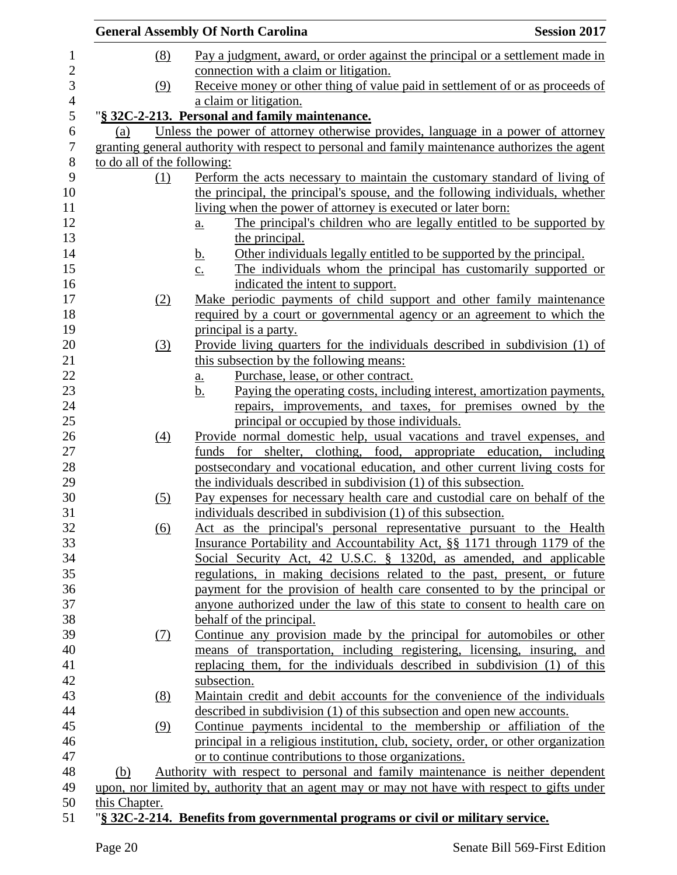|                             |                  | <b>General Assembly Of North Carolina</b>                                                       | <b>Session 2017</b> |
|-----------------------------|------------------|-------------------------------------------------------------------------------------------------|---------------------|
|                             | (8)              | Pay a judgment, award, or order against the principal or a settlement made in                   |                     |
|                             |                  | connection with a claim or litigation.                                                          |                     |
|                             | (9)              | Receive money or other thing of value paid in settlement of or as proceeds of                   |                     |
|                             |                  | a claim or litigation.                                                                          |                     |
|                             |                  | "§ 32C-2-213. Personal and family maintenance.                                                  |                     |
| (a)                         |                  | Unless the power of attorney otherwise provides, language in a power of attorney                |                     |
|                             |                  | granting general authority with respect to personal and family maintenance authorizes the agent |                     |
| to do all of the following: |                  |                                                                                                 |                     |
|                             | (1)              | Perform the acts necessary to maintain the customary standard of living of                      |                     |
|                             |                  | the principal, the principal's spouse, and the following individuals, whether                   |                     |
|                             |                  | living when the power of attorney is executed or later born:                                    |                     |
|                             |                  | The principal's children who are legally entitled to be supported by<br>$\underline{a}$ .       |                     |
|                             |                  | the principal.                                                                                  |                     |
|                             |                  | Other individuals legally entitled to be supported by the principal.<br><u>b.</u>               |                     |
|                             |                  | The individuals whom the principal has customarily supported or<br>$\underline{c}$ .            |                     |
|                             |                  | indicated the intent to support.                                                                |                     |
|                             | (2)              | Make periodic payments of child support and other family maintenance                            |                     |
|                             |                  | required by a court or governmental agency or an agreement to which the                         |                     |
|                             |                  | principal is a party.                                                                           |                     |
|                             | (3)              | Provide living quarters for the individuals described in subdivision (1) of                     |                     |
|                             |                  | this subsection by the following means:                                                         |                     |
|                             |                  | Purchase, lease, or other contract.<br><u>a.</u>                                                |                     |
|                             |                  | Paying the operating costs, including interest, amortization payments,<br>$b_{\cdot}$           |                     |
|                             |                  | repairs, improvements, and taxes, for premises owned by the                                     |                     |
|                             |                  | principal or occupied by those individuals.                                                     |                     |
|                             | $\left(4\right)$ | Provide normal domestic help, usual vacations and travel expenses, and                          |                     |
|                             |                  | funds for shelter, clothing, food, appropriate education, including                             |                     |
|                             |                  | postsecondary and vocational education, and other current living costs for                      |                     |
|                             |                  | the individuals described in subdivision (1) of this subsection.                                |                     |
|                             | (5)              | Pay expenses for necessary health care and custodial care on behalf of the                      |                     |
|                             |                  | individuals described in subdivision (1) of this subsection.                                    |                     |
|                             | <u>(6)</u>       | Act as the principal's personal representative pursuant to the Health                           |                     |
|                             |                  | Insurance Portability and Accountability Act, §§ 1171 through 1179 of the                       |                     |
|                             |                  | Social Security Act, 42 U.S.C. § 1320d, as amended, and applicable                              |                     |
|                             |                  | regulations, in making decisions related to the past, present, or future                        |                     |
|                             |                  | payment for the provision of health care consented to by the principal or                       |                     |
|                             |                  | anyone authorized under the law of this state to consent to health care on                      |                     |
|                             |                  | behalf of the principal.                                                                        |                     |
|                             | (7)              | Continue any provision made by the principal for automobiles or other                           |                     |
|                             |                  | means of transportation, including registering, licensing, insuring, and                        |                     |
|                             |                  | replacing them, for the individuals described in subdivision (1) of this                        |                     |
|                             |                  | subsection.                                                                                     |                     |
|                             | (8)              | Maintain credit and debit accounts for the convenience of the individuals                       |                     |
|                             |                  | described in subdivision (1) of this subsection and open new accounts.                          |                     |
|                             | (9)              | Continue payments incidental to the membership or affiliation of the                            |                     |
|                             |                  | principal in a religious institution, club, society, order, or other organization               |                     |
|                             |                  | or to continue contributions to those organizations.                                            |                     |
| (b)                         |                  | Authority with respect to personal and family maintenance is neither dependent                  |                     |
|                             |                  | upon, nor limited by, authority that an agent may or may not have with respect to gifts under   |                     |
| this Chapter.               |                  |                                                                                                 |                     |
|                             |                  | "8.22C.2.214. Donofits from governmental programs or givil or military service                  |                     |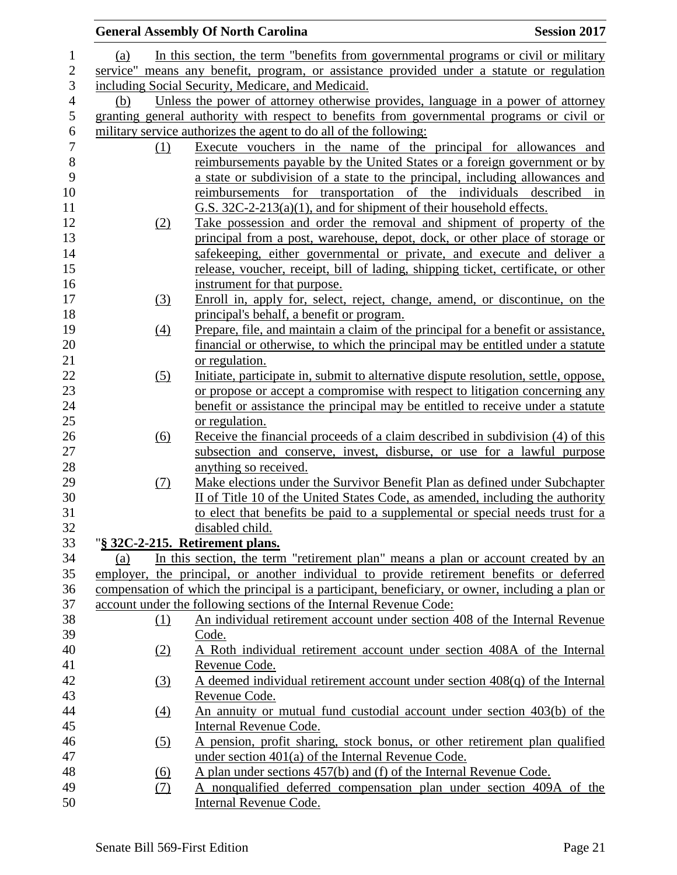|                   | <b>General Assembly Of North Carolina</b><br><b>Session 2017</b>                                 |
|-------------------|--------------------------------------------------------------------------------------------------|
| (a)               | In this section, the term "benefits from governmental programs or civil or military              |
|                   | service" means any benefit, program, or assistance provided under a statute or regulation        |
|                   | including Social Security, Medicare, and Medicaid.                                               |
| (b)               | Unless the power of attorney otherwise provides, language in a power of attorney                 |
|                   | granting general authority with respect to benefits from governmental programs or civil or       |
|                   | military service authorizes the agent to do all of the following:                                |
| (1)               | Execute vouchers in the name of the principal for allowances and                                 |
|                   | reimbursements payable by the United States or a foreign government or by                        |
|                   | a state or subdivision of a state to the principal, including allowances and                     |
|                   | reimbursements for transportation of the individuals described in                                |
|                   | G.S. 32C-2-213(a)(1), and for shipment of their household effects.                               |
| (2)               | Take possession and order the removal and shipment of property of the                            |
|                   | principal from a post, warehouse, depot, dock, or other place of storage or                      |
|                   | safekeeping, either governmental or private, and execute and deliver a                           |
|                   | release, voucher, receipt, bill of lading, shipping ticket, certificate, or other                |
|                   | instrument for that purpose.                                                                     |
| (3)               | Enroll in, apply for, select, reject, change, amend, or discontinue, on the                      |
|                   | principal's behalf, a benefit or program.                                                        |
| (4)               | Prepare, file, and maintain a claim of the principal for a benefit or assistance,                |
|                   | financial or otherwise, to which the principal may be entitled under a statute                   |
|                   | or regulation.                                                                                   |
| (5)               | Initiate, participate in, submit to alternative dispute resolution, settle, oppose,              |
|                   | or propose or accept a compromise with respect to litigation concerning any                      |
|                   | benefit or assistance the principal may be entitled to receive under a statute                   |
|                   | or regulation.                                                                                   |
| (6)               | Receive the financial proceeds of a claim described in subdivision (4) of this                   |
|                   | subsection and conserve, invest, disburse, or use for a lawful purpose                           |
|                   | anything so received.                                                                            |
| <u>(7)</u>        | Make elections under the Survivor Benefit Plan as defined under Subchapter                       |
|                   | II of Title 10 of the United States Code, as amended, including the authority                    |
|                   | to elect that benefits be paid to a supplemental or special needs trust for a                    |
|                   | disabled child.                                                                                  |
|                   | "§ 32C-2-215. Retirement plans.                                                                  |
| (a)               | In this section, the term "retirement plan" means a plan or account created by an                |
|                   | employer, the principal, or another individual to provide retirement benefits or deferred        |
|                   | compensation of which the principal is a participant, beneficiary, or owner, including a plan or |
|                   | account under the following sections of the Internal Revenue Code:                               |
| (1)               | An individual retirement account under section 408 of the Internal Revenue                       |
|                   | Code.                                                                                            |
| <u>(2)</u>        | A Roth individual retirement account under section 408A of the Internal                          |
|                   | Revenue Code.                                                                                    |
| (3)               | A deemed individual retirement account under section $408(q)$ of the Internal                    |
|                   | Revenue Code.                                                                                    |
| $\underline{(4)}$ | An annuity or mutual fund custodial account under section 403(b) of the                          |
|                   | Internal Revenue Code.                                                                           |
| (5)               | A pension, profit sharing, stock bonus, or other retirement plan qualified                       |
|                   | under section $401(a)$ of the Internal Revenue Code.                                             |
| <u>(6)</u>        | A plan under sections 457(b) and (f) of the Internal Revenue Code.                               |
| <u>(7)</u>        | A nonqualified deferred compensation plan under section 409A of the                              |
|                   | Internal Revenue Code.                                                                           |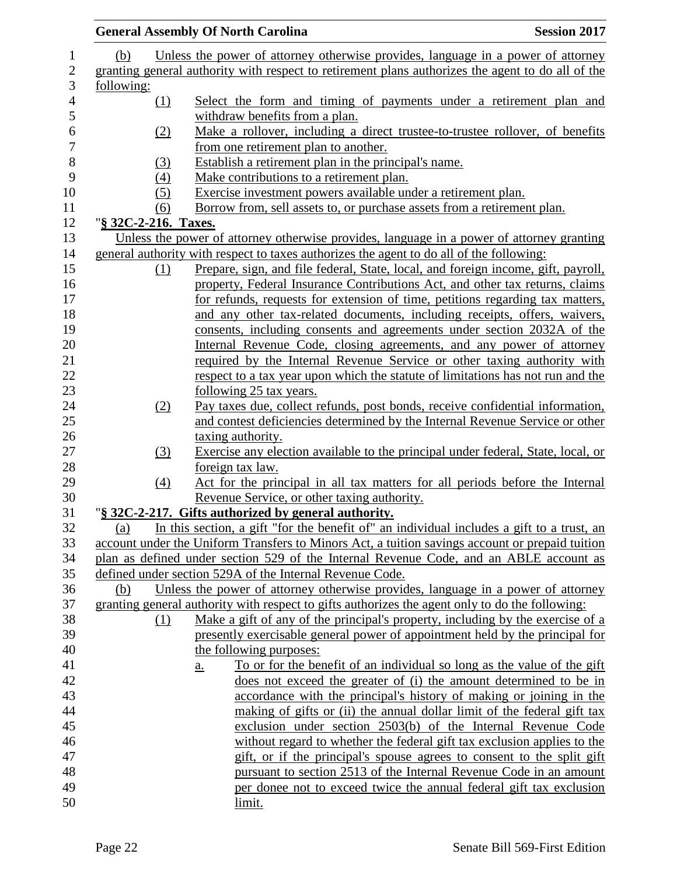|                      | <b>General Assembly Of North Carolina</b>                                                         | <b>Session 2017</b> |
|----------------------|---------------------------------------------------------------------------------------------------|---------------------|
| (b)                  | Unless the power of attorney otherwise provides, language in a power of attorney                  |                     |
|                      | granting general authority with respect to retirement plans authorizes the agent to do all of the |                     |
| following:           |                                                                                                   |                     |
| (1)                  | Select the form and timing of payments under a retirement plan and                                |                     |
|                      | withdraw benefits from a plan.                                                                    |                     |
| (2)                  | Make a rollover, including a direct trustee-to-trustee rollover, of benefits                      |                     |
|                      | from one retirement plan to another.                                                              |                     |
| (3)                  | Establish a retirement plan in the principal's name.                                              |                     |
| (4)                  | Make contributions to a retirement plan.                                                          |                     |
| (5)                  | Exercise investment powers available under a retirement plan.                                     |                     |
| (6)                  | Borrow from, sell assets to, or purchase assets from a retirement plan.                           |                     |
| "§ 32C-2-216. Taxes. |                                                                                                   |                     |
|                      | Unless the power of attorney otherwise provides, language in a power of attorney granting         |                     |
|                      | general authority with respect to taxes authorizes the agent to do all of the following:          |                     |
| (1)                  | Prepare, sign, and file federal, State, local, and foreign income, gift, payroll,                 |                     |
|                      | property, Federal Insurance Contributions Act, and other tax returns, claims                      |                     |
|                      | for refunds, requests for extension of time, petitions regarding tax matters,                     |                     |
|                      | and any other tax-related documents, including receipts, offers, waivers,                         |                     |
|                      | consents, including consents and agreements under section 2032A of the                            |                     |
|                      | Internal Revenue Code, closing agreements, and any power of attorney                              |                     |
|                      | required by the Internal Revenue Service or other taxing authority with                           |                     |
|                      | respect to a tax year upon which the statute of limitations has not run and the                   |                     |
|                      | <u>following 25 tax years.</u>                                                                    |                     |
| (2)                  | Pay taxes due, collect refunds, post bonds, receive confidential information,                     |                     |
|                      | and contest deficiencies determined by the Internal Revenue Service or other                      |                     |
|                      | taxing authority.                                                                                 |                     |
| (3)                  | Exercise any election available to the principal under federal, State, local, or                  |                     |
|                      | foreign tax law.                                                                                  |                     |
| $\left(4\right)$     | Act for the principal in all tax matters for all periods before the Internal                      |                     |
|                      | Revenue Service, or other taxing authority.                                                       |                     |
|                      | "§ 32C-2-217. Gifts authorized by general authority.                                              |                     |
| (a)                  | In this section, a gift "for the benefit of" an individual includes a gift to a trust, an         |                     |
|                      | account under the Uniform Transfers to Minors Act, a tuition savings account or prepaid tuition   |                     |
|                      | plan as defined under section 529 of the Internal Revenue Code, and an ABLE account as            |                     |
|                      | defined under section 529A of the Internal Revenue Code.                                          |                     |
| (b)                  | Unless the power of attorney otherwise provides, language in a power of attorney                  |                     |
|                      | granting general authority with respect to gifts authorizes the agent only to do the following:   |                     |
| (1)                  | <u>Make a gift of any of the principal's property, including by the exercise of a</u>             |                     |
|                      | presently exercisable general power of appointment held by the principal for                      |                     |
|                      | the following purposes:                                                                           |                     |
|                      | To or for the benefit of an individual so long as the value of the gift<br>a.                     |                     |
|                      | does not exceed the greater of (i) the amount determined to be in                                 |                     |
|                      | accordance with the principal's history of making or joining in the                               |                     |
|                      | making of gifts or (ii) the annual dollar limit of the federal gift tax                           |                     |
|                      | exclusion under section 2503(b) of the Internal Revenue Code                                      |                     |
|                      | without regard to whether the federal gift tax exclusion applies to the                           |                     |
|                      | gift, or if the principal's spouse agrees to consent to the split gift                            |                     |
|                      | pursuant to section 2513 of the Internal Revenue Code in an amount                                |                     |
|                      | per donee not to exceed twice the annual federal gift tax exclusion                               |                     |
|                      | limit.                                                                                            |                     |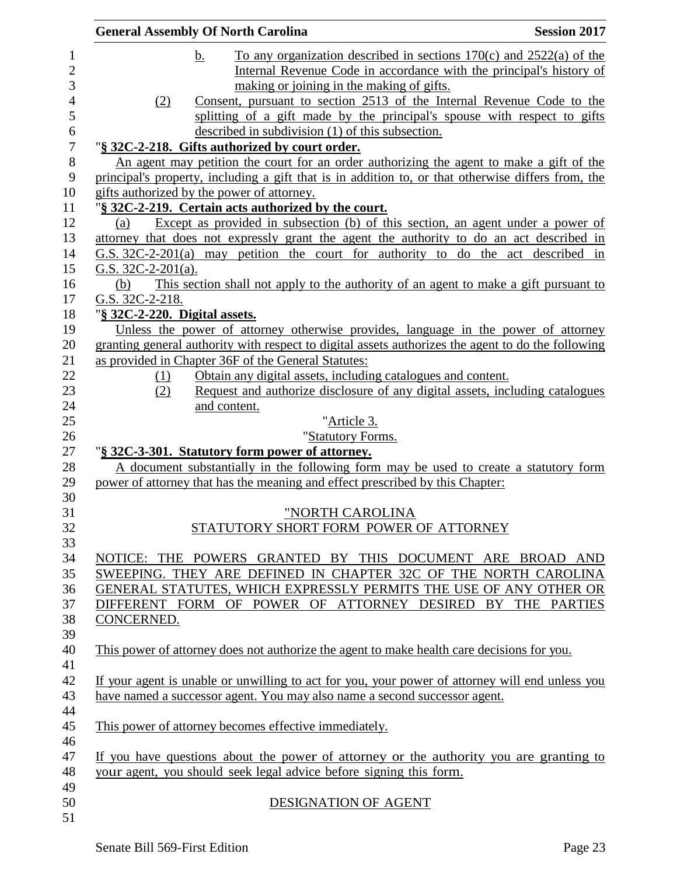| <b>General Assembly Of North Carolina</b>                                                          | <b>Session 2017</b> |
|----------------------------------------------------------------------------------------------------|---------------------|
| To any organization described in sections $170(c)$ and $2522(a)$ of the<br>b.                      |                     |
| Internal Revenue Code in accordance with the principal's history of                                |                     |
| making or joining in the making of gifts.                                                          |                     |
| Consent, pursuant to section 2513 of the Internal Revenue Code to the<br>(2)                       |                     |
| splitting of a gift made by the principal's spouse with respect to gifts                           |                     |
| described in subdivision (1) of this subsection.                                                   |                     |
| "§ 32C-2-218. Gifts authorized by court order.                                                     |                     |
| An agent may petition the court for an order authorizing the agent to make a gift of the           |                     |
| principal's property, including a gift that is in addition to, or that otherwise differs from, the |                     |
| gifts authorized by the power of attorney.                                                         |                     |
| "§ 32C-2-219. Certain acts authorized by the court.                                                |                     |
| Except as provided in subsection (b) of this section, an agent under a power of<br>(a)             |                     |
| attorney that does not expressly grant the agent the authority to do an act described in           |                     |
| G.S. $32C-2-201(a)$ may petition the court for authority to do the act described in                |                     |
| G.S. $32C-2-201(a)$ .                                                                              |                     |
| This section shall not apply to the authority of an agent to make a gift pursuant to<br>(b)        |                     |
| G.S. 32C-2-218.                                                                                    |                     |
| "§ 32C-2-220. Digital assets.                                                                      |                     |
| Unless the power of attorney otherwise provides, language in the power of attorney                 |                     |
| granting general authority with respect to digital assets authorizes the agent to do the following |                     |
| as provided in Chapter 36F of the General Statutes:                                                |                     |
| Obtain any digital assets, including catalogues and content.<br>(1)                                |                     |
| Request and authorize disclosure of any digital assets, including catalogues<br>(2)                |                     |
| and content.<br>"Article 3.                                                                        |                     |
| "Statutory Forms.                                                                                  |                     |
| "§ 32C-3-301. Statutory form power of attorney.                                                    |                     |
| A document substantially in the following form may be used to create a statutory form              |                     |
| power of attorney that has the meaning and effect prescribed by this Chapter:                      |                     |
|                                                                                                    |                     |
| "NORTH CAROLINA                                                                                    |                     |
| STATUTORY SHORT FORM POWER OF ATTORNEY                                                             |                     |
|                                                                                                    |                     |
| NOTICE: THE POWERS GRANTED BY THIS DOCUMENT ARE BROAD AND                                          |                     |
| SWEEPING. THEY ARE DEFINED IN CHAPTER 32C OF THE NORTH CAROLINA                                    |                     |
| GENERAL STATUTES, WHICH EXPRESSLY PERMITS THE USE OF ANY OTHER OR                                  |                     |
| DIFFERENT FORM OF POWER OF ATTORNEY DESIRED BY THE PARTIES                                         |                     |
| <b>CONCERNED.</b>                                                                                  |                     |
|                                                                                                    |                     |
| This power of attorney does not authorize the agent to make health care decisions for you.         |                     |
|                                                                                                    |                     |
| If your agent is unable or unwilling to act for you, your power of attorney will end unless you    |                     |
| have named a successor agent. You may also name a second successor agent.                          |                     |
|                                                                                                    |                     |
| This power of attorney becomes effective immediately.                                              |                     |
|                                                                                                    |                     |
| If you have questions about the power of attorney or the authority you are granting to             |                     |
| your agent, you should seek legal advice before signing this form.                                 |                     |
|                                                                                                    |                     |
| DESIGNATION OF AGENT                                                                               |                     |
|                                                                                                    |                     |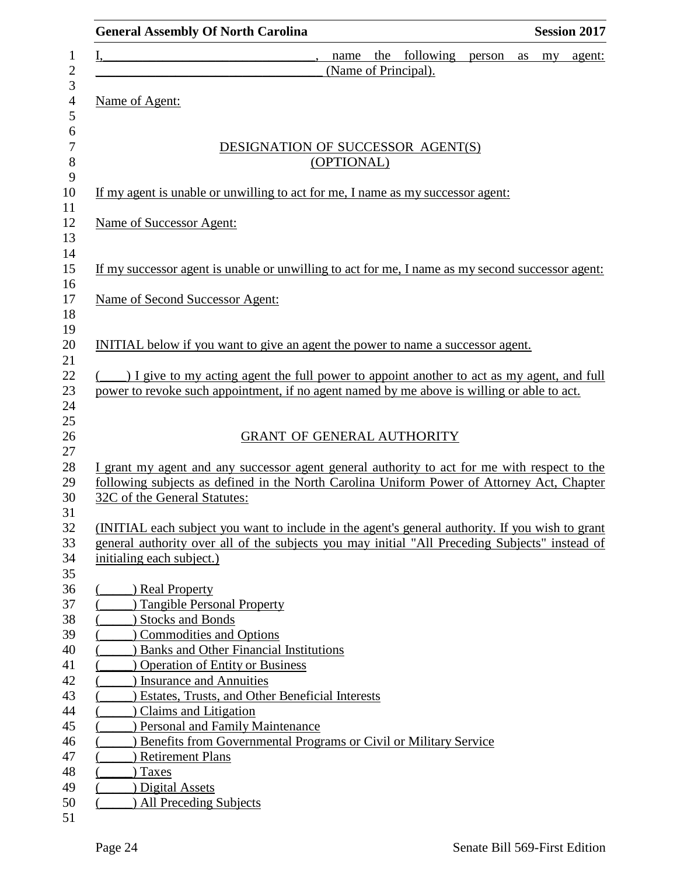| <b>General Assembly Of North Carolina</b><br><b>Session 2017</b>                                                                                                                                   |  |
|----------------------------------------------------------------------------------------------------------------------------------------------------------------------------------------------------|--|
| following<br>the<br>$\mathbf{I}, \underline{\hspace{1cm}} ,$<br>my agent:<br>name<br>person<br>as                                                                                                  |  |
| (Name of Principal).                                                                                                                                                                               |  |
| Name of Agent:                                                                                                                                                                                     |  |
|                                                                                                                                                                                                    |  |
| DESIGNATION OF SUCCESSOR AGENT(S)                                                                                                                                                                  |  |
| (OPTIONAL)                                                                                                                                                                                         |  |
| If my agent is unable or unwilling to act for me, I name as my successor agent:                                                                                                                    |  |
| Name of Successor Agent:                                                                                                                                                                           |  |
|                                                                                                                                                                                                    |  |
| If my successor agent is unable or unwilling to act for me, I name as my second successor agent:                                                                                                   |  |
| Name of Second Successor Agent:                                                                                                                                                                    |  |
|                                                                                                                                                                                                    |  |
| INITIAL below if you want to give an agent the power to name a successor agent.                                                                                                                    |  |
| () I give to my acting agent the full power to appoint another to act as my agent, and full                                                                                                        |  |
| power to revoke such appointment, if no agent named by me above is willing or able to act.                                                                                                         |  |
|                                                                                                                                                                                                    |  |
| <b>GRANT OF GENERAL AUTHORITY</b>                                                                                                                                                                  |  |
| I grant my agent and any successor agent general authority to act for me with respect to the                                                                                                       |  |
| following subjects as defined in the North Carolina Uniform Power of Attorney Act, Chapter<br>32C of the General Statutes:                                                                         |  |
|                                                                                                                                                                                                    |  |
| (INITIAL each subject you want to include in the agent's general authority. If you wish to grant<br>general authority over all of the subjects you may initial "All Preceding Subjects" instead of |  |
| initialing each subject.)                                                                                                                                                                          |  |
|                                                                                                                                                                                                    |  |
| ) Real Property<br><b>Tangible Personal Property</b>                                                                                                                                               |  |
| <b>Stocks and Bonds</b>                                                                                                                                                                            |  |
| <b>Commodities and Options</b>                                                                                                                                                                     |  |
| <b>Banks and Other Financial Institutions</b>                                                                                                                                                      |  |
| <b>Operation of Entity or Business</b>                                                                                                                                                             |  |
| ) Insurance and Annuities                                                                                                                                                                          |  |
| <b>Estates, Trusts, and Other Beneficial Interests</b>                                                                                                                                             |  |
| Claims and Litigation                                                                                                                                                                              |  |
| ) Personal and Family Maintenance                                                                                                                                                                  |  |
| Benefits from Governmental Programs or Civil or Military Service                                                                                                                                   |  |
| <b>Retirement Plans</b>                                                                                                                                                                            |  |
| ) Taxes                                                                                                                                                                                            |  |
| Digital Assets                                                                                                                                                                                     |  |
| <b>All Preceding Subjects</b>                                                                                                                                                                      |  |
|                                                                                                                                                                                                    |  |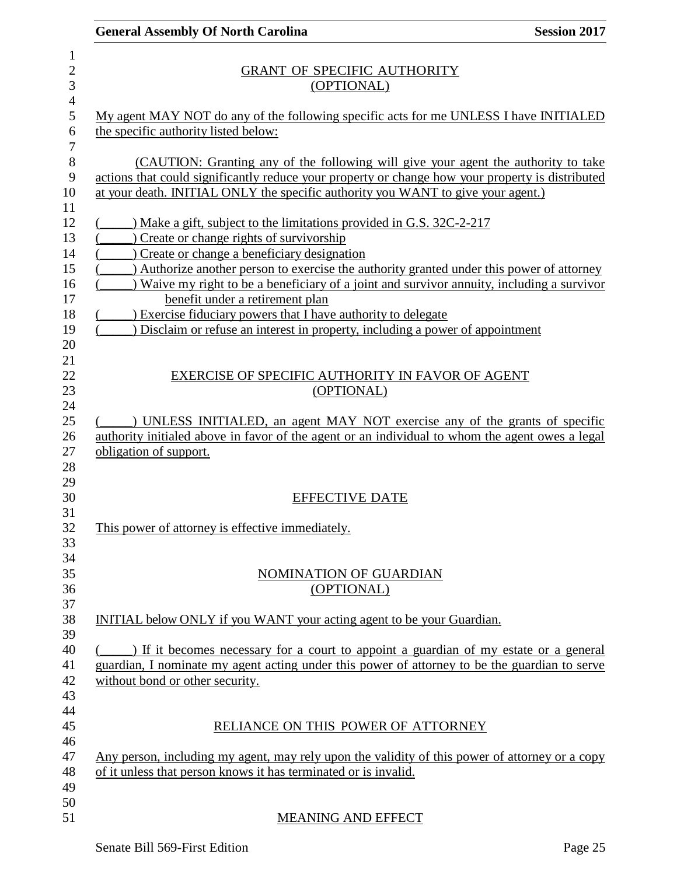|                           | <b>General Assembly Of North Carolina</b><br><b>Session 2017</b>                                                                                                                     |
|---------------------------|--------------------------------------------------------------------------------------------------------------------------------------------------------------------------------------|
| 1<br>$\overline{c}$       | <b>GRANT OF SPECIFIC AUTHORITY</b>                                                                                                                                                   |
| 3                         | (OPTIONAL)                                                                                                                                                                           |
| $\overline{4}$<br>5       | My agent MAY NOT do any of the following specific acts for me UNLESS I have INITIALED                                                                                                |
| 6                         | the specific authority listed below:                                                                                                                                                 |
| $\overline{7}$<br>$\,8\,$ | (CAUTION: Granting any of the following will give your agent the authority to take                                                                                                   |
| 9<br>10                   | actions that could significantly reduce your property or change how your property is distributed<br>at your death. INITIAL ONLY the specific authority you WANT to give your agent.) |
| 11<br>12                  | ) Make a gift, subject to the limitations provided in G.S. 32C-2-217                                                                                                                 |
| 13                        | Create or change rights of survivorship                                                                                                                                              |
| 14                        | Create or change a beneficiary designation                                                                                                                                           |
| 15                        | ) Authorize another person to exercise the authority granted under this power of attorney                                                                                            |
| 16<br>17                  | Waive my right to be a beneficiary of a joint and survivor annuity, including a survivor                                                                                             |
| 18                        | benefit under a retirement plan<br>) Exercise fiduciary powers that I have authority to delegate                                                                                     |
| 19                        | ) Disclaim or refuse an interest in property, including a power of appointment                                                                                                       |
| 20                        |                                                                                                                                                                                      |
| 21                        |                                                                                                                                                                                      |
| 22                        | EXERCISE OF SPECIFIC AUTHORITY IN FAVOR OF AGENT                                                                                                                                     |
| 23                        | (OPTIONAL)                                                                                                                                                                           |
| 24                        |                                                                                                                                                                                      |
| 25                        | ) UNLESS INITIALED, an agent MAY NOT exercise any of the grants of specific                                                                                                          |
| 26                        | authority initialed above in favor of the agent or an individual to whom the agent owes a legal                                                                                      |
| 27                        | obligation of support.                                                                                                                                                               |
| 28                        |                                                                                                                                                                                      |
| 29<br>30                  | <b>EFFECTIVE DATE</b>                                                                                                                                                                |
| 31                        |                                                                                                                                                                                      |
| 32                        | This power of attorney is effective immediately.                                                                                                                                     |
| 33                        |                                                                                                                                                                                      |
| 34                        |                                                                                                                                                                                      |
| 35                        | NOMINATION OF GUARDIAN                                                                                                                                                               |
| 36                        | (OPTIONAL)                                                                                                                                                                           |
| 37                        |                                                                                                                                                                                      |
| 38                        | INITIAL below ONLY if you WANT your acting agent to be your Guardian.                                                                                                                |
| 39                        |                                                                                                                                                                                      |
| 40                        | If it becomes necessary for a court to appoint a guardian of my estate or a general                                                                                                  |
| 41<br>42                  | guardian, I nominate my agent acting under this power of attorney to be the guardian to serve<br>without bond or other security.                                                     |
| 43                        |                                                                                                                                                                                      |
| 44                        |                                                                                                                                                                                      |
| 45                        | RELIANCE ON THIS POWER OF ATTORNEY                                                                                                                                                   |
| 46                        |                                                                                                                                                                                      |
| 47                        | Any person, including my agent, may rely upon the validity of this power of attorney or a copy                                                                                       |
| 48                        | of it unless that person knows it has terminated or is invalid.                                                                                                                      |
| 49                        |                                                                                                                                                                                      |
| 50<br>51                  | <b>MEANING AND EFFECT</b>                                                                                                                                                            |
|                           |                                                                                                                                                                                      |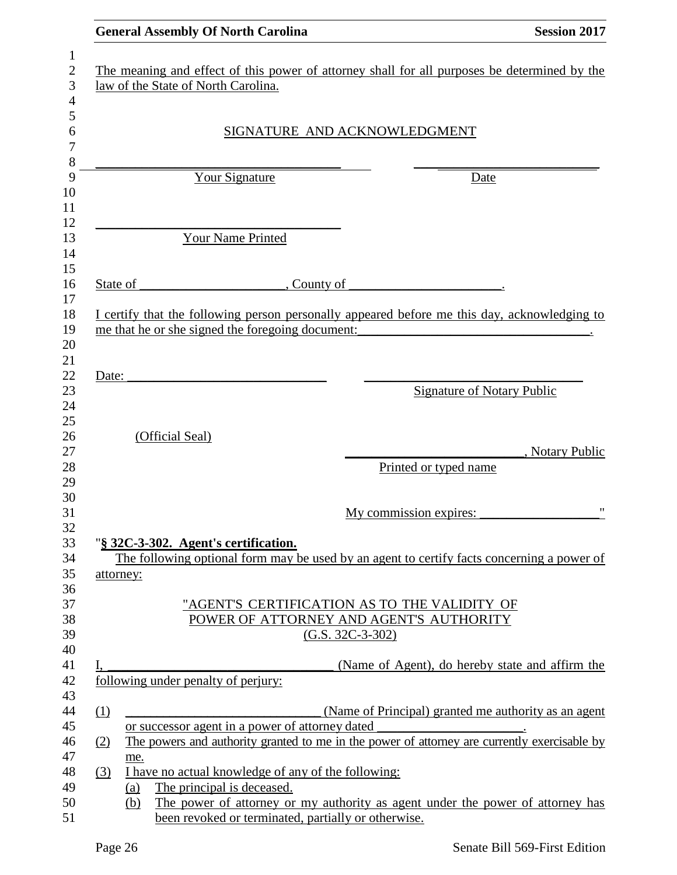| <b>General Assembly Of North Carolina</b>                                                                                                                                 | <b>Session 2017</b> |
|---------------------------------------------------------------------------------------------------------------------------------------------------------------------------|---------------------|
| The meaning and effect of this power of attorney shall for all purposes be determined by the<br>law of the State of North Carolina.                                       |                     |
|                                                                                                                                                                           |                     |
| SIGNATURE AND ACKNOWLEDGMENT                                                                                                                                              |                     |
|                                                                                                                                                                           |                     |
| Your Signature<br>Date                                                                                                                                                    |                     |
| Your Name Printed                                                                                                                                                         |                     |
|                                                                                                                                                                           |                     |
| , County of                                                                                                                                                               |                     |
| I certify that the following person personally appeared before me this day, acknowledging to                                                                              |                     |
| me that he or she signed the foregoing document:<br><u> 1989 - Johann Barbara, martin amerikan basal dan berasal dalam basal dalam basal dalam basal dalam basal dala</u> |                     |
|                                                                                                                                                                           |                     |
|                                                                                                                                                                           |                     |
| <b>Signature of Notary Public</b>                                                                                                                                         |                     |
|                                                                                                                                                                           |                     |
|                                                                                                                                                                           |                     |
|                                                                                                                                                                           | , Notary Public     |
| Printed or typed name                                                                                                                                                     |                     |
|                                                                                                                                                                           |                     |
| My commission expires:                                                                                                                                                    | $^{\bullet}$        |
|                                                                                                                                                                           |                     |
| "§ 32C-3-302. Agent's certification.                                                                                                                                      |                     |
| The following optional form may be used by an agent to certify facts concerning a power of                                                                                |                     |
|                                                                                                                                                                           |                     |
| "AGENT'S CERTIFICATION AS TO THE VALIDITY OF                                                                                                                              |                     |
| POWER OF ATTORNEY AND AGENT'S AUTHORITY                                                                                                                                   |                     |
| $(G.S. 32C-3-302)$                                                                                                                                                        |                     |
|                                                                                                                                                                           |                     |
| (Name of Agent), do hereby state and affirm the<br>following under penalty of perjury:                                                                                    |                     |
|                                                                                                                                                                           |                     |
| (Name of Principal) granted me authority as an agent                                                                                                                      |                     |
| or successor agent in a power of attorney dated                                                                                                                           |                     |
| The powers and authority granted to me in the power of attorney are currently exercisable by                                                                              |                     |
| I have no actual knowledge of any of the following:                                                                                                                       |                     |
| The principal is deceased.                                                                                                                                                |                     |
| The power of attorney or my authority as agent under the power of attorney has                                                                                            |                     |
| been revoked or terminated, partially or otherwise.                                                                                                                       |                     |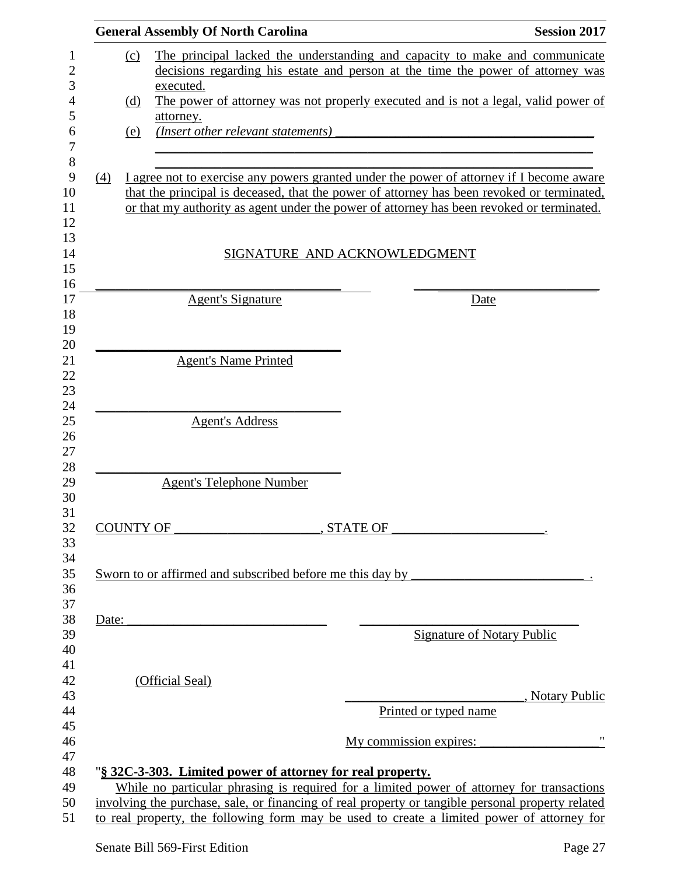|       |     | <b>General Assembly Of North Carolina</b>                                                                                                               | <b>Session 2017</b> |
|-------|-----|---------------------------------------------------------------------------------------------------------------------------------------------------------|---------------------|
|       | (c) | The principal lacked the understanding and capacity to make and communicate                                                                             |                     |
|       |     | decisions regarding his estate and person at the time the power of attorney was                                                                         |                     |
|       |     | executed.                                                                                                                                               |                     |
|       | (d) | The power of attorney was not properly executed and is not a legal, valid power of                                                                      |                     |
|       | (e) | attorney.<br>(Insert other relevant statements)                                                                                                         |                     |
|       |     |                                                                                                                                                         |                     |
| (4)   |     | I agree not to exercise any powers granted under the power of attorney if I become aware                                                                |                     |
|       |     | that the principal is deceased, that the power of attorney has been revoked or terminated,                                                              |                     |
|       |     | or that my authority as agent under the power of attorney has been revoked or terminated.                                                               |                     |
|       |     |                                                                                                                                                         |                     |
|       |     | SIGNATURE AND ACKNOWLEDGMENT                                                                                                                            |                     |
|       |     |                                                                                                                                                         |                     |
|       |     | <b>Agent's Signature</b><br>Date                                                                                                                        |                     |
|       |     |                                                                                                                                                         |                     |
|       |     |                                                                                                                                                         |                     |
|       |     | <b>Agent's Name Printed</b>                                                                                                                             |                     |
|       |     |                                                                                                                                                         |                     |
|       |     | <b>Agent's Address</b>                                                                                                                                  |                     |
|       |     |                                                                                                                                                         |                     |
|       |     |                                                                                                                                                         |                     |
|       |     | <b>Agent's Telephone Number</b>                                                                                                                         |                     |
|       |     |                                                                                                                                                         |                     |
|       |     | <b>COUNTY OF</b><br>, STATE OF                                                                                                                          |                     |
|       |     |                                                                                                                                                         |                     |
|       |     | Sworn to or affirmed and subscribed before me this day by                                                                                               |                     |
|       |     |                                                                                                                                                         |                     |
| Date: |     |                                                                                                                                                         |                     |
|       |     | Signature of Notary Public                                                                                                                              |                     |
|       |     |                                                                                                                                                         |                     |
|       |     | (Official Seal)                                                                                                                                         |                     |
|       |     |                                                                                                                                                         | , Notary Public     |
|       |     | Printed or typed name                                                                                                                                   |                     |
|       |     | My commission expires:                                                                                                                                  |                     |
|       |     |                                                                                                                                                         |                     |
|       |     | "§ 32C-3-303. Limited power of attorney for real property.<br>While no particular phrasing is required for a limited power of attorney for transactions |                     |
|       |     | involving the purchase, sale, or financing of real property or tangible personal property related                                                       |                     |
|       |     | to real property, the following form may be used to create a limited power of attorney for                                                              |                     |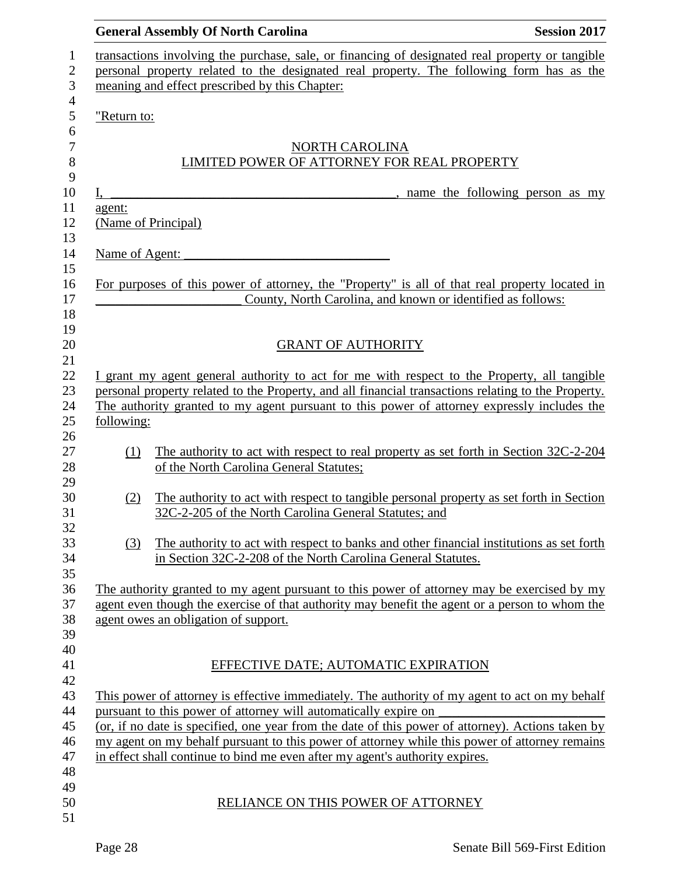|                | <b>General Assembly Of North Carolina</b>                                                                                                                            | <b>Session 2017</b> |
|----------------|----------------------------------------------------------------------------------------------------------------------------------------------------------------------|---------------------|
|                | transactions involving the purchase, sale, or financing of designated real property or tangible                                                                      |                     |
|                | personal property related to the designated real property. The following form has as the                                                                             |                     |
|                | meaning and effect prescribed by this Chapter:                                                                                                                       |                     |
| "Return to:    |                                                                                                                                                                      |                     |
|                | NORTH CAROLINA                                                                                                                                                       |                     |
|                | LIMITED POWER OF ATTORNEY FOR REAL PROPERTY                                                                                                                          |                     |
|                |                                                                                                                                                                      |                     |
| I,             | name the following person as my                                                                                                                                      |                     |
| agent:         | (Name of Principal)                                                                                                                                                  |                     |
|                |                                                                                                                                                                      |                     |
| Name of Agent: |                                                                                                                                                                      |                     |
|                | For purposes of this power of attorney, the "Property" is all of that real property located in                                                                       |                     |
|                | County, North Carolina, and known or identified as follows:                                                                                                          |                     |
|                |                                                                                                                                                                      |                     |
|                |                                                                                                                                                                      |                     |
|                | <b>GRANT OF AUTHORITY</b>                                                                                                                                            |                     |
|                | I grant my agent general authority to act for me with respect to the Property, all tangible                                                                          |                     |
|                | personal property related to the Property, and all financial transactions relating to the Property.                                                                  |                     |
|                | The authority granted to my agent pursuant to this power of attorney expressly includes the                                                                          |                     |
| following:     |                                                                                                                                                                      |                     |
| (1)            | The authority to act with respect to real property as set forth in Section 32C-2-204                                                                                 |                     |
|                | of the North Carolina General Statutes;                                                                                                                              |                     |
|                |                                                                                                                                                                      |                     |
| (2)            | The authority to act with respect to tangible personal property as set forth in Section                                                                              |                     |
|                | 32C-2-205 of the North Carolina General Statutes; and                                                                                                                |                     |
| (3)            | The authority to act with respect to banks and other financial institutions as set forth                                                                             |                     |
|                | in Section 32C-2-208 of the North Carolina General Statutes.                                                                                                         |                     |
|                |                                                                                                                                                                      |                     |
|                | The authority granted to my agent pursuant to this power of attorney may be exercised by my                                                                          |                     |
|                | agent even though the exercise of that authority may benefit the agent or a person to whom the                                                                       |                     |
|                | agent owes an obligation of support.                                                                                                                                 |                     |
|                |                                                                                                                                                                      |                     |
|                | EFFECTIVE DATE; AUTOMATIC EXPIRATION                                                                                                                                 |                     |
|                |                                                                                                                                                                      |                     |
|                | This power of attorney is effective immediately. The authority of my agent to act on my behalf                                                                       |                     |
|                | pursuant to this power of attorney will automatically expire on<br>(or, if no date is specified, one year from the date of this power of attorney). Actions taken by |                     |
|                | my agent on my behalf pursuant to this power of attorney while this power of attorney remains                                                                        |                     |
|                | in effect shall continue to bind me even after my agent's authority expires.                                                                                         |                     |
|                |                                                                                                                                                                      |                     |
|                |                                                                                                                                                                      |                     |
|                | RELIANCE ON THIS POWER OF ATTORNEY                                                                                                                                   |                     |
|                |                                                                                                                                                                      |                     |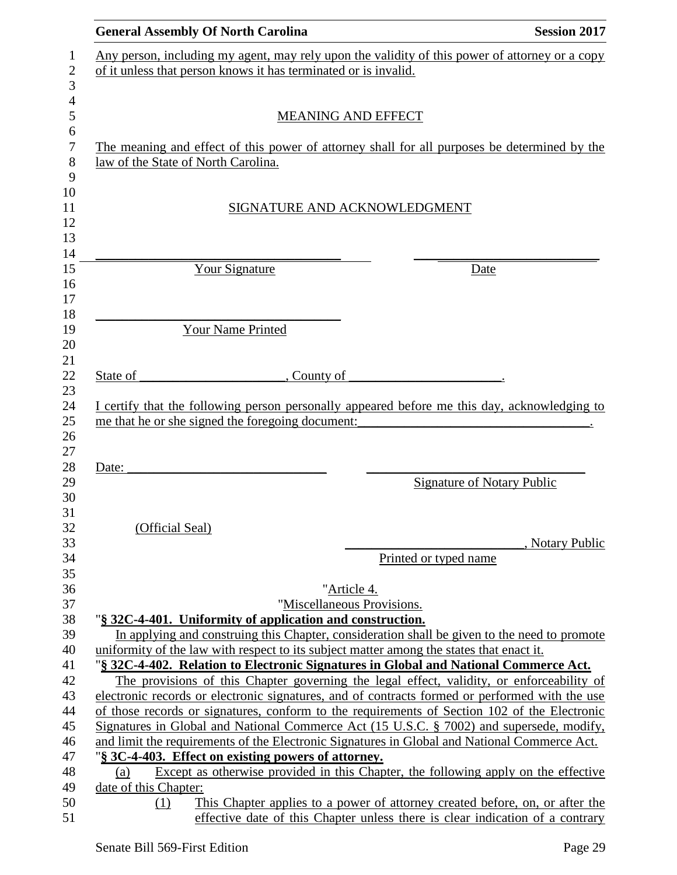| <b>General Assembly Of North Carolina</b>                                                                                                                                                                                                                                                | <b>Session 2017</b>               |
|------------------------------------------------------------------------------------------------------------------------------------------------------------------------------------------------------------------------------------------------------------------------------------------|-----------------------------------|
| Any person, including my agent, may rely upon the validity of this power of attorney or a copy                                                                                                                                                                                           |                                   |
| of it unless that person knows it has terminated or is invalid.                                                                                                                                                                                                                          |                                   |
|                                                                                                                                                                                                                                                                                          |                                   |
| <b>MEANING AND EFFECT</b>                                                                                                                                                                                                                                                                |                                   |
|                                                                                                                                                                                                                                                                                          |                                   |
| The meaning and effect of this power of attorney shall for all purposes be determined by the                                                                                                                                                                                             |                                   |
| law of the State of North Carolina.                                                                                                                                                                                                                                                      |                                   |
|                                                                                                                                                                                                                                                                                          |                                   |
|                                                                                                                                                                                                                                                                                          |                                   |
| SIGNATURE AND ACKNOWLEDGMENT                                                                                                                                                                                                                                                             |                                   |
|                                                                                                                                                                                                                                                                                          |                                   |
|                                                                                                                                                                                                                                                                                          |                                   |
| Your Signature                                                                                                                                                                                                                                                                           | Date                              |
|                                                                                                                                                                                                                                                                                          |                                   |
|                                                                                                                                                                                                                                                                                          |                                   |
|                                                                                                                                                                                                                                                                                          |                                   |
| Your Name Printed                                                                                                                                                                                                                                                                        |                                   |
|                                                                                                                                                                                                                                                                                          |                                   |
| State of<br>, County of                                                                                                                                                                                                                                                                  |                                   |
|                                                                                                                                                                                                                                                                                          |                                   |
| Date:                                                                                                                                                                                                                                                                                    | <b>Signature of Notary Public</b> |
|                                                                                                                                                                                                                                                                                          |                                   |
|                                                                                                                                                                                                                                                                                          |                                   |
| (Official Seal)                                                                                                                                                                                                                                                                          |                                   |
|                                                                                                                                                                                                                                                                                          | , Notary Public                   |
| Printed or typed name                                                                                                                                                                                                                                                                    |                                   |
| "Article 4.                                                                                                                                                                                                                                                                              |                                   |
| "Miscellaneous Provisions.                                                                                                                                                                                                                                                               |                                   |
| "§ 32C-4-401. Uniformity of application and construction.                                                                                                                                                                                                                                |                                   |
| In applying and construing this Chapter, consideration shall be given to the need to promote                                                                                                                                                                                             |                                   |
| uniformity of the law with respect to its subject matter among the states that enact it.                                                                                                                                                                                                 |                                   |
|                                                                                                                                                                                                                                                                                          |                                   |
| "§ 32C-4-402. Relation to Electronic Signatures in Global and National Commerce Act.                                                                                                                                                                                                     |                                   |
| The provisions of this Chapter governing the legal effect, validity, or enforceability of                                                                                                                                                                                                |                                   |
|                                                                                                                                                                                                                                                                                          |                                   |
|                                                                                                                                                                                                                                                                                          |                                   |
|                                                                                                                                                                                                                                                                                          |                                   |
| of those records or signatures, conform to the requirements of Section 102 of the Electronic<br>Signatures in Global and National Commerce Act (15 U.S.C. § 7002) and supersede, modify,<br>and limit the requirements of the Electronic Signatures in Global and National Commerce Act. |                                   |
| "§ 3C-4-403. Effect on existing powers of attorney.                                                                                                                                                                                                                                      |                                   |
| electronic records or electronic signatures, and of contracts formed or performed with the use<br>Except as otherwise provided in this Chapter, the following apply on the effective<br>(a)                                                                                              |                                   |
| date of this Chapter:<br>This Chapter applies to a power of attorney created before, on, or after the<br>(1)                                                                                                                                                                             |                                   |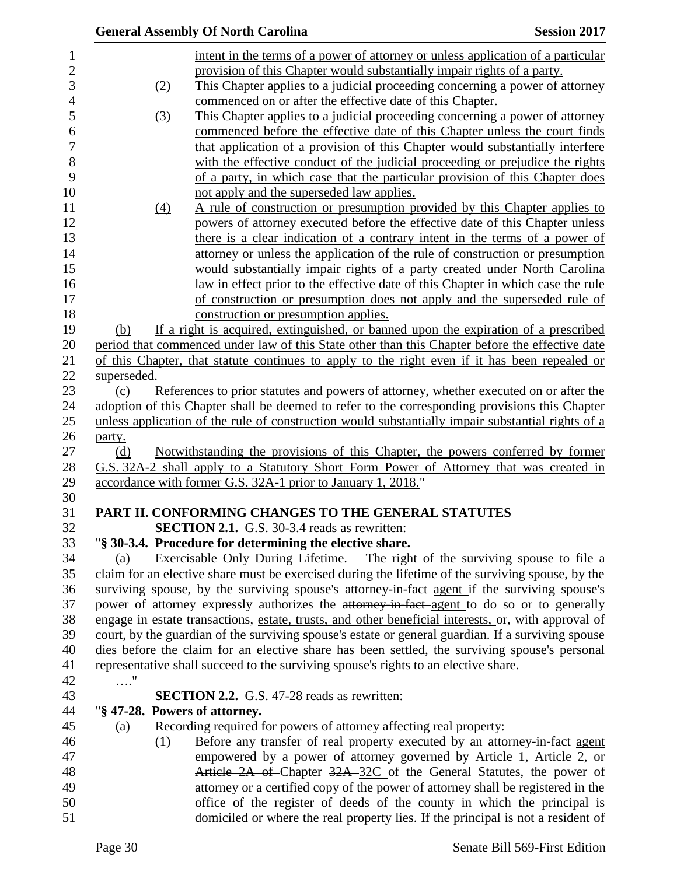|             |     | <b>General Assembly Of North Carolina</b>                                                           | <b>Session 2017</b> |
|-------------|-----|-----------------------------------------------------------------------------------------------------|---------------------|
|             |     | intent in the terms of a power of attorney or unless application of a particular                    |                     |
|             |     | provision of this Chapter would substantially impair rights of a party.                             |                     |
|             | (2) | This Chapter applies to a judicial proceeding concerning a power of attorney                        |                     |
|             |     | commenced on or after the effective date of this Chapter.                                           |                     |
|             | (3) | This Chapter applies to a judicial proceeding concerning a power of attorney                        |                     |
|             |     | commenced before the effective date of this Chapter unless the court finds                          |                     |
|             |     | that application of a provision of this Chapter would substantially interfere                       |                     |
|             |     | with the effective conduct of the judicial proceeding or prejudice the rights                       |                     |
|             |     | of a party, in which case that the particular provision of this Chapter does                        |                     |
|             |     | not apply and the superseded law applies.                                                           |                     |
|             |     | A rule of construction or presumption provided by this Chapter applies to                           |                     |
|             | (4) |                                                                                                     |                     |
|             |     | powers of attorney executed before the effective date of this Chapter unless                        |                     |
|             |     | there is a clear indication of a contrary intent in the terms of a power of                         |                     |
|             |     | attorney or unless the application of the rule of construction or presumption                       |                     |
|             |     | would substantially impair rights of a party created under North Carolina                           |                     |
|             |     | <u>law in effect prior to the effective date of this Chapter in which case the rule</u>             |                     |
|             |     | of construction or presumption does not apply and the superseded rule of                            |                     |
|             |     | construction or presumption applies.                                                                |                     |
| (b)         |     | If a right is acquired, extinguished, or banned upon the expiration of a prescribed                 |                     |
|             |     | period that commenced under law of this State other than this Chapter before the effective date     |                     |
|             |     | of this Chapter, that statute continues to apply to the right even if it has been repealed or       |                     |
| superseded. |     |                                                                                                     |                     |
| (c)         |     | References to prior statutes and powers of attorney, whether executed on or after the               |                     |
|             |     | adoption of this Chapter shall be deemed to refer to the corresponding provisions this Chapter      |                     |
|             |     | unless application of the rule of construction would substantially impair substantial rights of a   |                     |
| party.      |     |                                                                                                     |                     |
| (d)         |     | Notwithstanding the provisions of this Chapter, the powers conferred by former                      |                     |
|             |     | G.S. 32A-2 shall apply to a Statutory Short Form Power of Attorney that was created in              |                     |
|             |     | accordance with former G.S. 32A-1 prior to January 1, 2018."                                        |                     |
|             |     | PART II. CONFORMING CHANGES TO THE GENERAL STATUTES                                                 |                     |
|             |     | <b>SECTION 2.1.</b> G.S. 30-3.4 reads as rewritten:                                                 |                     |
|             |     | "§ 30-3.4. Procedure for determining the elective share.                                            |                     |
| (a)         |     | Exercisable Only During Lifetime. – The right of the surviving spouse to file a                     |                     |
|             |     | claim for an elective share must be exercised during the lifetime of the surviving spouse, by the   |                     |
|             |     | surviving spouse, by the surviving spouse's attorney in fact agent if the surviving spouse's        |                     |
|             |     | power of attorney expressly authorizes the attorney-in-fact-agent to do so or to generally          |                     |
|             |     | engage in estate transactions, estate, trusts, and other beneficial interests, or, with approval of |                     |
|             |     | court, by the guardian of the surviving spouse's estate or general guardian. If a surviving spouse  |                     |
|             |     | dies before the claim for an elective share has been settled, the surviving spouse's personal       |                     |
|             |     |                                                                                                     |                     |
|             |     | representative shall succeed to the surviving spouse's rights to an elective share.                 |                     |
| $\ldots$ ." |     |                                                                                                     |                     |
|             |     | <b>SECTION 2.2.</b> G.S. 47-28 reads as rewritten:                                                  |                     |
|             |     | "§ 47-28. Powers of attorney.                                                                       |                     |
| (a)         |     | Recording required for powers of attorney affecting real property:                                  |                     |
|             | (1) | Before any transfer of real property executed by an attorney in fact-agent                          |                     |
|             |     | empowered by a power of attorney governed by Article 1, Article 2, or                               |                     |
|             |     | Article 2A of Chapter 32A-32C of the General Statutes, the power of                                 |                     |
|             |     | attorney or a certified copy of the power of attorney shall be registered in the                    |                     |
|             |     | office of the register of deeds of the county in which the principal is                             |                     |
|             |     | domiciled or where the real property lies. If the principal is not a resident of                    |                     |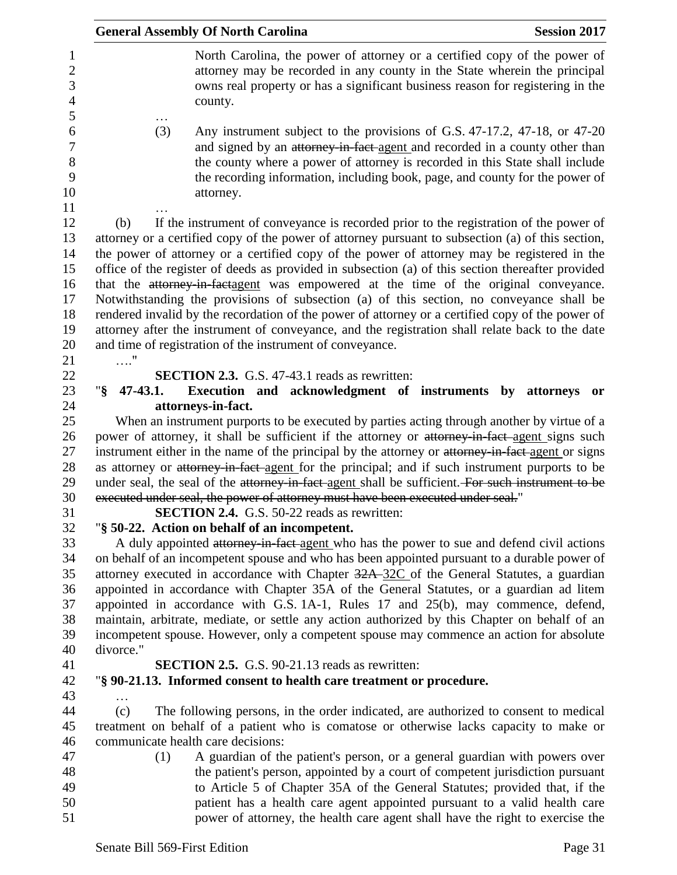|                     | <b>General Assembly Of North Carolina</b>                                                                                                                                                                                                                                                                                                                                                                                                                                                                                                                                                                                                                                                                                                                                                                                                              | <b>Session 2017</b> |
|---------------------|--------------------------------------------------------------------------------------------------------------------------------------------------------------------------------------------------------------------------------------------------------------------------------------------------------------------------------------------------------------------------------------------------------------------------------------------------------------------------------------------------------------------------------------------------------------------------------------------------------------------------------------------------------------------------------------------------------------------------------------------------------------------------------------------------------------------------------------------------------|---------------------|
|                     | North Carolina, the power of attorney or a certified copy of the power of<br>attorney may be recorded in any county in the State wherein the principal<br>owns real property or has a significant business reason for registering in the<br>county.                                                                                                                                                                                                                                                                                                                                                                                                                                                                                                                                                                                                    |                     |
| (3)                 | Any instrument subject to the provisions of G.S. 47-17.2, 47-18, or 47-20<br>and signed by an attorney-in-fact agent and recorded in a county other than<br>the county where a power of attorney is recorded in this State shall include<br>the recording information, including book, page, and county for the power of<br>attorney.                                                                                                                                                                                                                                                                                                                                                                                                                                                                                                                  |                     |
| (b)                 | If the instrument of conveyance is recorded prior to the registration of the power of<br>attorney or a certified copy of the power of attorney pursuant to subsection (a) of this section,<br>the power of attorney or a certified copy of the power of attorney may be registered in the<br>office of the register of deeds as provided in subsection (a) of this section thereafter provided<br>that the attorney in factagent was empowered at the time of the original conveyance.<br>Notwithstanding the provisions of subsection (a) of this section, no conveyance shall be<br>rendered invalid by the recordation of the power of attorney or a certified copy of the power of<br>attorney after the instrument of conveyance, and the registration shall relate back to the date<br>and time of registration of the instrument of conveyance. |                     |
|                     | <b>SECTION 2.3.</b> G.S. 47-43.1 reads as rewritten:                                                                                                                                                                                                                                                                                                                                                                                                                                                                                                                                                                                                                                                                                                                                                                                                   |                     |
| $\sqrt{8}$ 47-43.1. | Execution and acknowledgment of instruments by attorneys                                                                                                                                                                                                                                                                                                                                                                                                                                                                                                                                                                                                                                                                                                                                                                                               | <b>or</b>           |
|                     | attorneys-in-fact.                                                                                                                                                                                                                                                                                                                                                                                                                                                                                                                                                                                                                                                                                                                                                                                                                                     |                     |
|                     | When an instrument purports to be executed by parties acting through another by virtue of a                                                                                                                                                                                                                                                                                                                                                                                                                                                                                                                                                                                                                                                                                                                                                            |                     |
|                     | power of attorney, it shall be sufficient if the attorney or attorney in fact agent signs such<br>instrument either in the name of the principal by the attorney or attorney-in-fact-agent or signs<br>as attorney or attorney-in-fact agent for the principal; and if such instrument purports to be                                                                                                                                                                                                                                                                                                                                                                                                                                                                                                                                                  |                     |
|                     | under seal, the seal of the attorney-in-fact-agent shall be sufficient. For such instrument to be<br>executed under seal, the power of attorney must have been executed under seal."                                                                                                                                                                                                                                                                                                                                                                                                                                                                                                                                                                                                                                                                   |                     |
|                     | <b>SECTION 2.4.</b> G.S. 50-22 reads as rewritten:                                                                                                                                                                                                                                                                                                                                                                                                                                                                                                                                                                                                                                                                                                                                                                                                     |                     |
|                     | "§ 50-22. Action on behalf of an incompetent.                                                                                                                                                                                                                                                                                                                                                                                                                                                                                                                                                                                                                                                                                                                                                                                                          |                     |
|                     | A duly appointed attorney-in-fact agent who has the power to sue and defend civil actions<br>on behalf of an incompetent spouse and who has been appointed pursuant to a durable power of<br>attorney executed in accordance with Chapter 32A-32C of the General Statutes, a guardian                                                                                                                                                                                                                                                                                                                                                                                                                                                                                                                                                                  |                     |
|                     | appointed in accordance with Chapter 35A of the General Statutes, or a guardian ad litem                                                                                                                                                                                                                                                                                                                                                                                                                                                                                                                                                                                                                                                                                                                                                               |                     |
|                     | appointed in accordance with G.S. 1A-1, Rules 17 and 25(b), may commence, defend,                                                                                                                                                                                                                                                                                                                                                                                                                                                                                                                                                                                                                                                                                                                                                                      |                     |
|                     | maintain, arbitrate, mediate, or settle any action authorized by this Chapter on behalf of an                                                                                                                                                                                                                                                                                                                                                                                                                                                                                                                                                                                                                                                                                                                                                          |                     |
|                     | incompetent spouse. However, only a competent spouse may commence an action for absolute                                                                                                                                                                                                                                                                                                                                                                                                                                                                                                                                                                                                                                                                                                                                                               |                     |
| divorce."           |                                                                                                                                                                                                                                                                                                                                                                                                                                                                                                                                                                                                                                                                                                                                                                                                                                                        |                     |
|                     | <b>SECTION 2.5.</b> G.S. 90-21.13 reads as rewritten:                                                                                                                                                                                                                                                                                                                                                                                                                                                                                                                                                                                                                                                                                                                                                                                                  |                     |
|                     | "§ 90-21.13. Informed consent to health care treatment or procedure.                                                                                                                                                                                                                                                                                                                                                                                                                                                                                                                                                                                                                                                                                                                                                                                   |                     |
| (c)                 |                                                                                                                                                                                                                                                                                                                                                                                                                                                                                                                                                                                                                                                                                                                                                                                                                                                        |                     |
|                     | The following persons, in the order indicated, are authorized to consent to medical<br>treatment on behalf of a patient who is comatose or otherwise lacks capacity to make or                                                                                                                                                                                                                                                                                                                                                                                                                                                                                                                                                                                                                                                                         |                     |
|                     | communicate health care decisions:                                                                                                                                                                                                                                                                                                                                                                                                                                                                                                                                                                                                                                                                                                                                                                                                                     |                     |
| (1)                 | A guardian of the patient's person, or a general guardian with powers over                                                                                                                                                                                                                                                                                                                                                                                                                                                                                                                                                                                                                                                                                                                                                                             |                     |
|                     | the patient's person, appointed by a court of competent jurisdiction pursuant                                                                                                                                                                                                                                                                                                                                                                                                                                                                                                                                                                                                                                                                                                                                                                          |                     |
|                     | to Article 5 of Chapter 35A of the General Statutes; provided that, if the                                                                                                                                                                                                                                                                                                                                                                                                                                                                                                                                                                                                                                                                                                                                                                             |                     |
|                     | patient has a health care agent appointed pursuant to a valid health care                                                                                                                                                                                                                                                                                                                                                                                                                                                                                                                                                                                                                                                                                                                                                                              |                     |
|                     | power of attorney, the health care agent shall have the right to exercise the                                                                                                                                                                                                                                                                                                                                                                                                                                                                                                                                                                                                                                                                                                                                                                          |                     |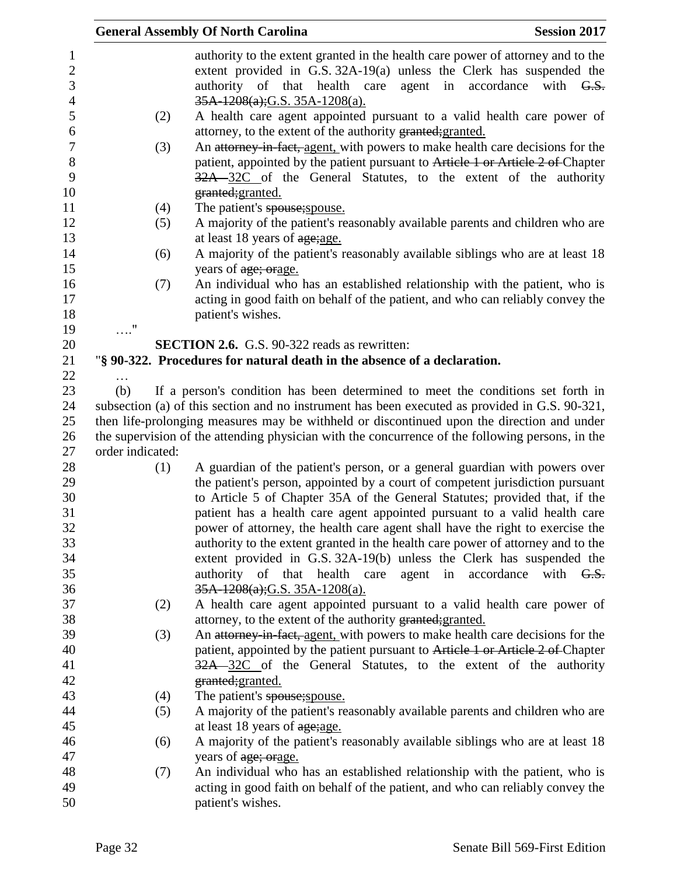|                             | <b>General Assembly Of North Carolina</b>                                                                                                                                                                                                                                       | <b>Session 2017</b>       |
|-----------------------------|---------------------------------------------------------------------------------------------------------------------------------------------------------------------------------------------------------------------------------------------------------------------------------|---------------------------|
|                             | authority to the extent granted in the health care power of attorney and to the<br>extent provided in G.S. $32A-19(a)$ unless the Clerk has suspended the<br>authority of that health care<br>agent in<br>35A-1208(a); G.S. 35A-1208(a).                                        | accordance<br>with $G.S.$ |
| (2)                         | A health care agent appointed pursuant to a valid health care power of<br>attorney, to the extent of the authority granted; granted.                                                                                                                                            |                           |
| (3)                         | An attorney-in-fact, agent, with powers to make health care decisions for the                                                                                                                                                                                                   |                           |
|                             | patient, appointed by the patient pursuant to Article 1 or Article 2 of Chapter<br>32A 32C of the General Statutes, to the extent of the authority<br>granted; granted.                                                                                                         |                           |
| (4)                         | The patient's spouse; spouse.                                                                                                                                                                                                                                                   |                           |
| (5)                         | A majority of the patient's reasonably available parents and children who are<br>at least 18 years of age; age.                                                                                                                                                                 |                           |
| (6)                         | A majority of the patient's reasonably available siblings who are at least 18<br>years of age; orage.                                                                                                                                                                           |                           |
| (7)                         | An individual who has an established relationship with the patient, who is                                                                                                                                                                                                      |                           |
|                             | acting in good faith on behalf of the patient, and who can reliably convey the                                                                                                                                                                                                  |                           |
|                             | patient's wishes.                                                                                                                                                                                                                                                               |                           |
| $\ldots \overset{0}{\cdot}$ |                                                                                                                                                                                                                                                                                 |                           |
|                             | <b>SECTION 2.6.</b> G.S. 90-322 reads as rewritten:                                                                                                                                                                                                                             |                           |
|                             | "§ 90-322. Procedures for natural death in the absence of a declaration.                                                                                                                                                                                                        |                           |
| (b)                         |                                                                                                                                                                                                                                                                                 |                           |
|                             | If a person's condition has been determined to meet the conditions set forth in<br>subsection (a) of this section and no instrument has been executed as provided in G.S. 90-321,<br>then life-prolonging measures may be withheld or discontinued upon the direction and under |                           |
|                             | the supervision of the attending physician with the concurrence of the following persons, in the                                                                                                                                                                                |                           |
| order indicated:            |                                                                                                                                                                                                                                                                                 |                           |
| (1)                         | A guardian of the patient's person, or a general guardian with powers over<br>the patient's person, appointed by a court of competent jurisdiction pursuant                                                                                                                     |                           |
|                             | to Article 5 of Chapter 35A of the General Statutes; provided that, if the                                                                                                                                                                                                      |                           |
|                             | patient has a health care agent appointed pursuant to a valid health care                                                                                                                                                                                                       |                           |
|                             | power of attorney, the health care agent shall have the right to exercise the                                                                                                                                                                                                   |                           |
|                             | authority to the extent granted in the health care power of attorney and to the                                                                                                                                                                                                 |                           |
|                             | extent provided in G.S. 32A-19(b) unless the Clerk has suspended the                                                                                                                                                                                                            |                           |
|                             | authority<br>of that<br>agent<br>health care<br>in                                                                                                                                                                                                                              | accordance<br>with $G.S.$ |
|                             | $35A-1208(a); G.S. 35A-1208(a).$                                                                                                                                                                                                                                                |                           |
| (2)                         | A health care agent appointed pursuant to a valid health care power of                                                                                                                                                                                                          |                           |
|                             | attorney, to the extent of the authority granted; granted.                                                                                                                                                                                                                      |                           |
| (3)                         | An attorney-in-fact, agent, with powers to make health care decisions for the                                                                                                                                                                                                   |                           |
|                             | patient, appointed by the patient pursuant to Article 1 or Article 2 of Chapter                                                                                                                                                                                                 |                           |
|                             | 32A 32C of the General Statutes, to the extent of the authority                                                                                                                                                                                                                 |                           |
|                             | granted; granted.                                                                                                                                                                                                                                                               |                           |
| (4)                         | The patient's spouse; spouse.                                                                                                                                                                                                                                                   |                           |
| (5)                         | A majority of the patient's reasonably available parents and children who are                                                                                                                                                                                                   |                           |
|                             | at least 18 years of age; age.                                                                                                                                                                                                                                                  |                           |
| (6)                         | A majority of the patient's reasonably available siblings who are at least 18                                                                                                                                                                                                   |                           |
|                             | years of age; orage.                                                                                                                                                                                                                                                            |                           |
| (7)                         | An individual who has an established relationship with the patient, who is                                                                                                                                                                                                      |                           |
|                             | acting in good faith on behalf of the patient, and who can reliably convey the<br>patient's wishes.                                                                                                                                                                             |                           |